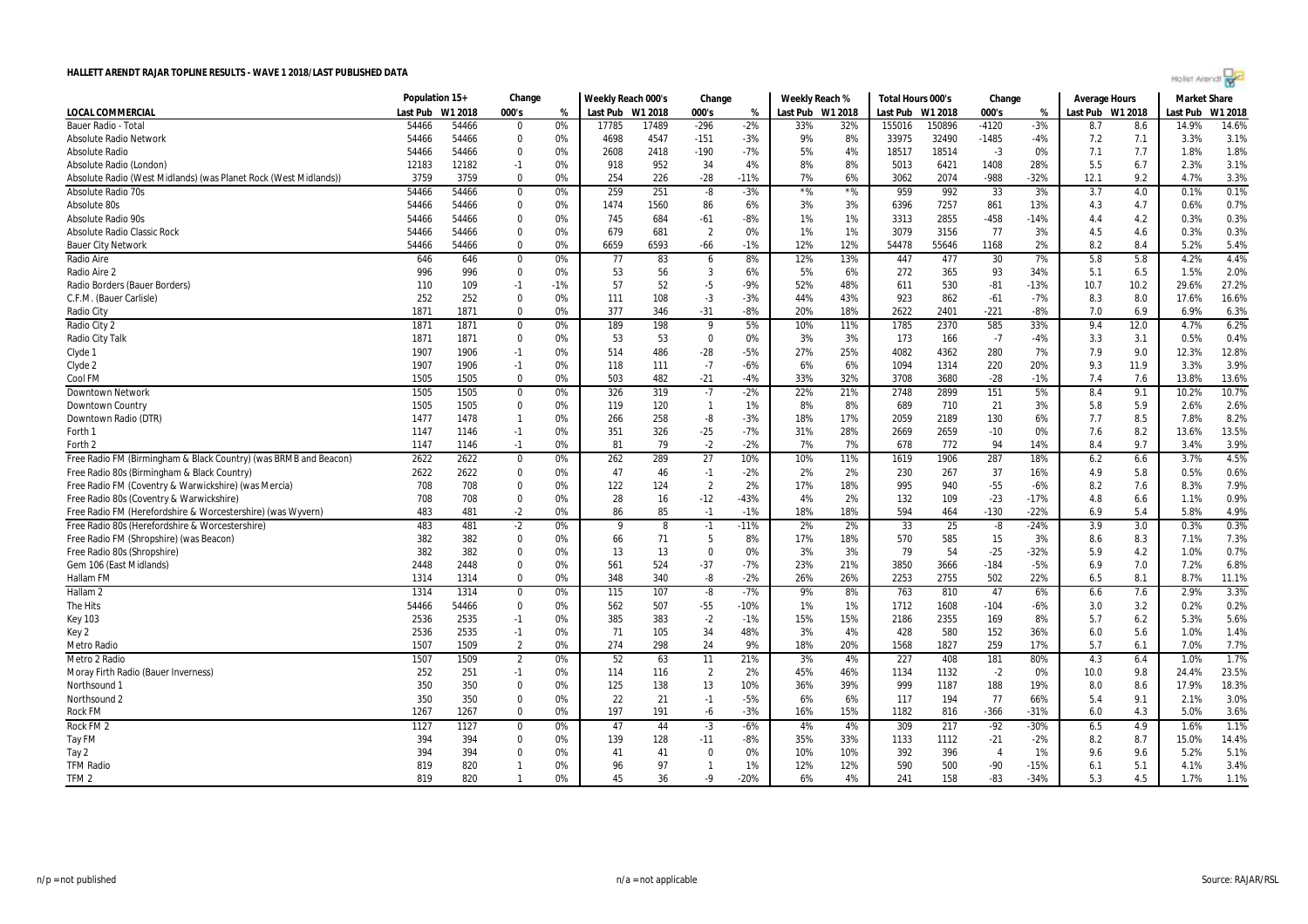

|                                                                  | Population 15+ |               | Change                 |          | Weekly Reach 000's |            | Change          |                 | Weekly Reach % |                  | Total Hours 000's |              | Change         |             | <b>Average Hours</b> |            | <b>Market Share</b> |              |
|------------------------------------------------------------------|----------------|---------------|------------------------|----------|--------------------|------------|-----------------|-----------------|----------------|------------------|-------------------|--------------|----------------|-------------|----------------------|------------|---------------------|--------------|
| LOCAL COMMERCIAL                                                 | Last Pub       | W1 2018       | 000's                  | %        | Last Pub W1 2018   |            | 000's           | %               |                | Last Pub W1 2018 | Last Pub W1 2018  |              | 000's          | %           | Last Pub W1 2018     |            | Last Pub            | W1 2018      |
| <b>Bauer Radio - Total</b>                                       | 54466          | 54466         | $\Omega$               | 0%       | 17785              | 17489      | $-296$          | $-2%$           | 33%            | 32%              | 155016            | 150896       | $-4120$        | $-3%$       | 8.7                  | 8.6        | 14.9%               | 14.6%        |
| <b>Absolute Radio Network</b>                                    | 54466          | 54466         | $\Omega$               | 0%       | 4698               | 4547       | $-151$          | $-3%$           | 9%             | 8%               | 33975             | 32490        | $-1485$        | $-4%$       | 7.2                  | 7.1        | 3.3%                | 3.1%         |
| Absolute Radio                                                   | 54466          | 54466         | $\Omega$               | 0%       | 2608               | 2418       | $-190$          | $-7%$           | 5%             | 4%               | 18517             | 18514        | $-3$           | 0%          | 7.1                  | 7.7        | 1.8%                | 1.8%         |
| Absolute Radio (London)                                          | 12183          | 12182         | $-1$                   | 0%       | 918                | 952        | 34              | 4%              | 8%             | 8%               | 5013              | 6421         | 1408           | 28%         | 5.5                  | 6.7        | 2.3%                | 3.1%         |
| Absolute Radio (West Midlands) (was Planet Rock (West Midlands)  | 3759           | 3759          | $\Omega$               | 0%       | 254                | 226        | $-28$           | $-11%$          | 7%             | 6%               | 3062              | 2074         | -988           | $-32%$      | 12.1                 | 9.2        | 4.7%                | 3.3%         |
| Absolute Radio 70s                                               | 54466          | 54466         | $\overline{0}$         | 0%       | 259                | 251        | $-8$            | $-3%$           | $*$ %          | $*$ %            | 959               | 992          | 33             | 3%          | 3.7                  | 4.0        | 0.1%                | 0.1%         |
| Absolute 80s                                                     | 54466          | 54466         | $\Omega$               | 0%       | 1474               | 1560       | 86              | 6%              | 3%             | 3%               | 6396              | 7257         | 861            | 13%         | 4.3                  | 4.7        | 0.6%                | 0.7%         |
| Absolute Radio 90s                                               | 54466          | 54466         | $\Omega$               | 0%       | 745                | 684        | $-61$           | $-8%$           | 1%             | 1%               | 3313              | 2855         | $-458$         | $-14%$      | 4.4                  | 4.2        | 0.3%                | 0.3%         |
| <b>Absolute Radio Classic Rock</b>                               | 54466          | 54466         | $\Omega$               | 0%       | 679                | 681        | $\overline{2}$  | 0%              | 1%             | 1%               | 3079              | 3156         | 77             | 3%          | 4.5                  | 4.6        | 0.3%                | 0.3%         |
| <b>Bauer City Network</b>                                        | 54466          | 54466         | $\Omega$               | 0%       | 6659               | 6593       | $-66$           | $-1%$           | 12%            | 12%              | 54478             | 55646        | 1168           | 2%          | 8.2                  | 8.4        | 5.2%                | 5.4%         |
| Radio Aire                                                       | 646            | 646           | $\mathbf 0$            | 0%       | 77                 | 83         | 6               | 8%              | 12%            | 13%              | 447               | 477          | 30             | 7%          | 5.8                  | 5.8        | 4.2%                | 4.4%         |
| Radio Aire 2                                                     | 996            | 996           | $\Omega$               | 0%       | 53                 | 56         | $\overline{3}$  | 6%              | 5%             | 6%               | 272               | 365          | 93             | 34%         | 5.1                  | 6.5        | 1.5%                | 2.0%         |
| Radio Borders (Bauer Borders)                                    | 110            | 109           | $-1$                   | $-1%$    | 57                 | 52         | -5              | -9%             | 52%            | 48%              | 611               | 530          | $-81$          | $-13%$      | 10.7                 | 10.2       | 29.6%               | 27.2%        |
| C.F.M. (Bauer Carlisle)                                          | 252            | 252           | $\Omega$               | 0%       | 111                | 108        | $-3$            | $-3%$           | 44%            | 43%              | 923               | 862          | $-61$          | $-7%$       | 8.3                  | 8.0        | 17.6%               | 16.6%        |
| Radio City                                                       | 1871           | 1871          | $\Omega$               | 0%       | 377                | 346        | $-31$           | $-8%$           | 20%            | 18%              | 2622              | 2401         | $-221$         | $-8%$       | 7.0                  | 6.9        | 6.9%                | 6.3%         |
| Radio City 2                                                     | 1871           | 1871          | $\mathbf 0$            | 0%       | 189                | 198        | 9               | 5%              | 10%            | 11%              | 1785              | 2370         | 585            | 33%         | 9.4                  | 12.0       | 4.7%                | 6.2%         |
| Radio City Talk                                                  | 1871           | 1871          | $\Omega$               | 0%       | 53                 | 53         | $\mathbf 0$     | 0%              | 3%             | 3%               | 173               | 166          | $-7$           | -4%         | 3.3                  | 3.1        | 0.5%                | 0.4%         |
| Clyde 1                                                          | 1907           | 1906          | $-1$                   | 0%       | 514                | 486        | $-28$           | $-5%$           | 27%            | 25%              | 4082              | 4362         | 280            | 7%          | 7.9                  | 9.0        | 12.3%               | 12.8%        |
| Clyde 2                                                          | 1907           | 1906          | $-1$                   | 0%       | 118                | 111        | $-7$            | $-6%$           | 6%             | 6%               | 1094              | 1314         | 220            | 20%         | 9.3                  | 11.9       | 3.3%                | 3.9%         |
| Cool FM                                                          | 1505           | 1505          | $\Omega$               | 0%       | 503                | 482        | $-21$           | $-4%$           | 33%            | 32%              | 3708              | 3680         | $-28$          | $-1%$       | 7.4                  | 7.6        | 13.8%               | 13.6%        |
| <b>Downtown Network</b>                                          | 1505           | 1505          | $\mathbf 0$            | 0%       | 326                | 319        | $-7$            | $-2%$           | 22%            | 21%              | 2748              | 2899         | 151            | 5%          | 8.4                  | 9.1        | 10.2%               | 10.7%        |
| Downtown Country                                                 | 1505           | 1505          | $\mathbf 0$            | 0%       | 119                | 120        | $\mathbf{1}$    | 1%              | 8%             | 8%               | 689               | 710          | 21             | 3%          | 5.8                  | 5.9        | 2.6%                | 2.6%         |
| Downtown Radio (DTR)                                             | 1477           | 1478          | $\mathbf{1}$           | 0%       | 266                | 258        | -8              | $-3%$           | 18%            | 17%              | 2059              | 2189         | 130            | 6%          | 7.7                  | 8.5        | 7.8%                | 8.2%         |
| Forth 1                                                          | 1147           | 1146          | $-1$                   | 0%       | 351                | 326        | $-25$           | $-7%$           | 31%            | 28%              | 2669              | 2659         | $-10$          | 0%          | 7.6                  | 8.2        | 13.6%               | 13.5%        |
| Forth 2                                                          | 1147           | 1146          | $-1$                   | 0%       | 81                 | 79         | $-2$            | $-2%$           | 7%             | 7%               | 678               | 772          | 94             | 14%         | 8.4                  | 9.7        | 3.4%                | 3.9%         |
| Free Radio FM (Birmingham & Black Country) (was BRMB and Beacon) | 2622           | 2622          | $\mathbf 0$            | 0%       | 262                | 289        | $\overline{27}$ | 10%             | 10%            | 11%              | 1619              | 1906         | 287            | 18%         | 6.2                  | 6.6        | 3.7%                | 4.5%         |
| Free Radio 80s (Birmingham & Black Country)                      | 2622           | 2622          | $\Omega$               | 0%       | 47                 | 46         | $-1$            | $-2%$           | 2%             | 2%               | 230               | 267          | 37             | 16%         | 4.9                  | 5.8        | 0.5%                | 0.6%         |
| Free Radio FM (Coventry & Warwickshire) (was Mercia)             | 708            | 708           | $\Omega$               | 0%       | 122                | 124        | $\overline{2}$  | 2%              | 17%            | 18%              | 995               | 940          | $-55$          | $-6%$       | 8.2                  | 7.6        | 8.3%                | 7.9%         |
| Free Radio 80s (Coventry & Warwickshire)                         | 708            | 708           | $\Omega$               | 0%       | 28                 | 16         | $-12$           | $-43%$          | 4%             | 2%               | 132               | 109          | $-23$          | $-17%$      | 4.8                  | 6.6        | 1.1%                | 0.9%         |
| Free Radio FM (Herefordshire & Worcestershire) (was Wyvern)      | 483            | 481           | $-2$                   | 0%       | 86                 | 85         | $-1$            | $-1%$           | 18%            | 18%              | 594               | 464          | $-130$         | $-22%$      | 6.9                  | 5.4        | 5.8%                | 4.9%         |
| Free Radio 80s (Herefordshire & Worcestershire)                  | 483            | 481           | $-2$                   | 0%       | q                  | 8          | $-1$            | $-11%$          | 2%             | 2%               | 33                | 25           | -8             | $-24%$      | 3.9                  | 3.0        | 0.3%                | 0.3%         |
| Free Radio FM (Shropshire) (was Beacon)                          | 382            | 382           | $\Omega$               | 0%       | 66                 | 71         | 5               | 8%              | 17%            | 18%              | 570               | 585          | 15             | 3%          | 8.6                  | 8.3        | 7.1%                | 7.3%         |
| Free Radio 80s (Shropshire)                                      | 382            | 382           | $\Omega$               | 0%       | 13                 | 13         | $\Omega$        | 0%              | 3%             | 3%               | 79                | 54           | $-25$          | $-32%$      | 5.9                  | 4.2        | 1.0%                | 0.7%         |
|                                                                  | 2448           | 2448          | $\Omega$               | 0%       | 561                | 524        | $-37$           | $-7%$           | 23%            | 21%              | 3850              | 3666         | $-184$         | $-5%$       | 6.9                  | 7.0        | 7.2%                | 6.8%         |
| Gem 106 (East Midlands)<br>Hallam FM                             | 1314           | 1314          | $\Omega$               | 0%       | 348                | 340        | $-8$            | $-2%$           | 26%            | 26%              | 2253              | 2755         | 502            | 22%         | 6.5                  | 8.1        | 8.7%                | 11.1%        |
| Hallam <sub>2</sub>                                              |                | 1314          | $\mathbf 0$            |          | 115                | 107        | $-8$            | $-7%$           | 9%             | 8%               | 763               | 810          | 47             | 6%          |                      |            | 2.9%                | 3.3%         |
|                                                                  | 1314           |               | $\Omega$               | 0%       |                    |            |                 |                 |                |                  |                   |              |                |             | 6.6                  | 7.6        |                     |              |
| The Hits                                                         | 54466<br>2536  | 54466<br>2535 | $-1$                   | 0%<br>0% | 562<br>385         | 507<br>383 | $-55$<br>$-2$   | $-10%$<br>$-1%$ | 1%<br>15%      | 1%<br>15%        | 1712<br>2186      | 1608<br>2355 | $-104$<br>169  | $-6%$<br>8% | 3.0<br>5.7           | 3.2<br>6.2 | 0.2%<br>5.3%        | 0.2%<br>5.6% |
| <b>Key 103</b>                                                   |                |               |                        | 0%       | 71                 |            |                 | 48%             | 3%             | 4%               |                   |              |                |             |                      | 5.6        | 1.0%                | 1.4%         |
| Key 2                                                            | 2536<br>1507   | 2535<br>1509  | $-1$<br>$\overline{2}$ | 0%       | 274                | 105<br>298 | 34<br>24        | 9%              | 18%            | 20%              | 428<br>1568       | 580<br>1827  | 152<br>259     | 36%<br>17%  | 6.0<br>5.7           | 6.1        | 7.0%                | 7.7%         |
| <b>Metro Radio</b>                                               |                |               |                        |          |                    |            |                 |                 |                |                  |                   |              |                |             |                      |            |                     |              |
| Metro 2 Radio                                                    | 1507           | 1509          | $\overline{2}$         | 0%       | 52                 | 63         | 11              | 21%             | 3%             | 4%               | 227               | 408          | 181            | 80%         | 4.3                  | 6.4        | 1.0%                | 1.7%         |
| Moray Firth Radio (Bauer Inverness)                              | 252            | 251           | $-1$                   | 0%       | 114                | 116        | $\overline{2}$  | 2%              | 45%            | 46%              | 1134              | 1132         | $-2$           | 0%          | 10.0                 | 9.8        | 24.4%               | 23.5%        |
| Northsound                                                       | 350            | 350           | $\Omega$               | 0%       | 125                | 138        | 13              | 10%             | 36%            | 39%              | 999               | 1187         | 188            | 19%         | 8.0                  | 8.6        | 17.9%               | 18.3%        |
| Northsound 2                                                     | 350            | 350           | $\Omega$               | 0%       | 22                 | 21         | $-1$            | $-5%$           | 6%             | 6%               | 117               | 194          | 77             | 66%         | 5.4                  | 9.1        | 2.1%                | 3.0%         |
| <b>Rock FM</b>                                                   | 1267           | 1267          | $\Omega$               | 0%       | 197                | 191        | $-6$            | $-3%$           | 16%            | 15%              | 1182              | 816          | $-366$         | $-31%$      | 6.0                  | 4.3        | 5.0%                | 3.6%         |
| Rock FM <sub>2</sub>                                             | 1127           | 1127          | $\mathbf 0$            | 0%       | 47                 | 44         | $-3$            | $-6%$           | 4%             | 4%               | 309               | 217          | $-92$          | $-30%$      | 6.5                  | 4.9        | 1.6%                | 1.1%         |
| Tay FM                                                           | 394            | 394           | $\Omega$               | 0%       | 139                | 128        | $-11$           | $-8%$           | 35%            | 33%              | 1133              | 1112         | $-21$          | $-2%$       | 8.2                  | 8.7        | 15.0%               | 14.4%        |
| Tay 2                                                            | 394            | 394           | $\Omega$               | 0%       | 41                 | 41         | $\Omega$        | 0%              | 10%            | 10%              | 392               | 396          | $\overline{4}$ | 1%          | 9.6                  | 9.6        | 5.2%                | 5.1%         |
| <b>TFM Radio</b>                                                 | 819            | 820           | $\mathbf{1}$           | 0%       | 96                 | 97         | $\mathbf{1}$    | 1%              | 12%            | 12%              | 590               | 500          | $-90$          | $-15%$      | 6.1                  | 5.1        | 4.1%                | 3.4%         |
| TFM <sub>2</sub>                                                 | 819            | 820           | $\mathbf{1}$           | 0%       | 45                 | 36         | -9              | $-20%$          | 6%             | 4%               | 241               | 158          | $-83$          | $-34%$      | 5.3                  | 4.5        | 1.7%                | 1.1%         |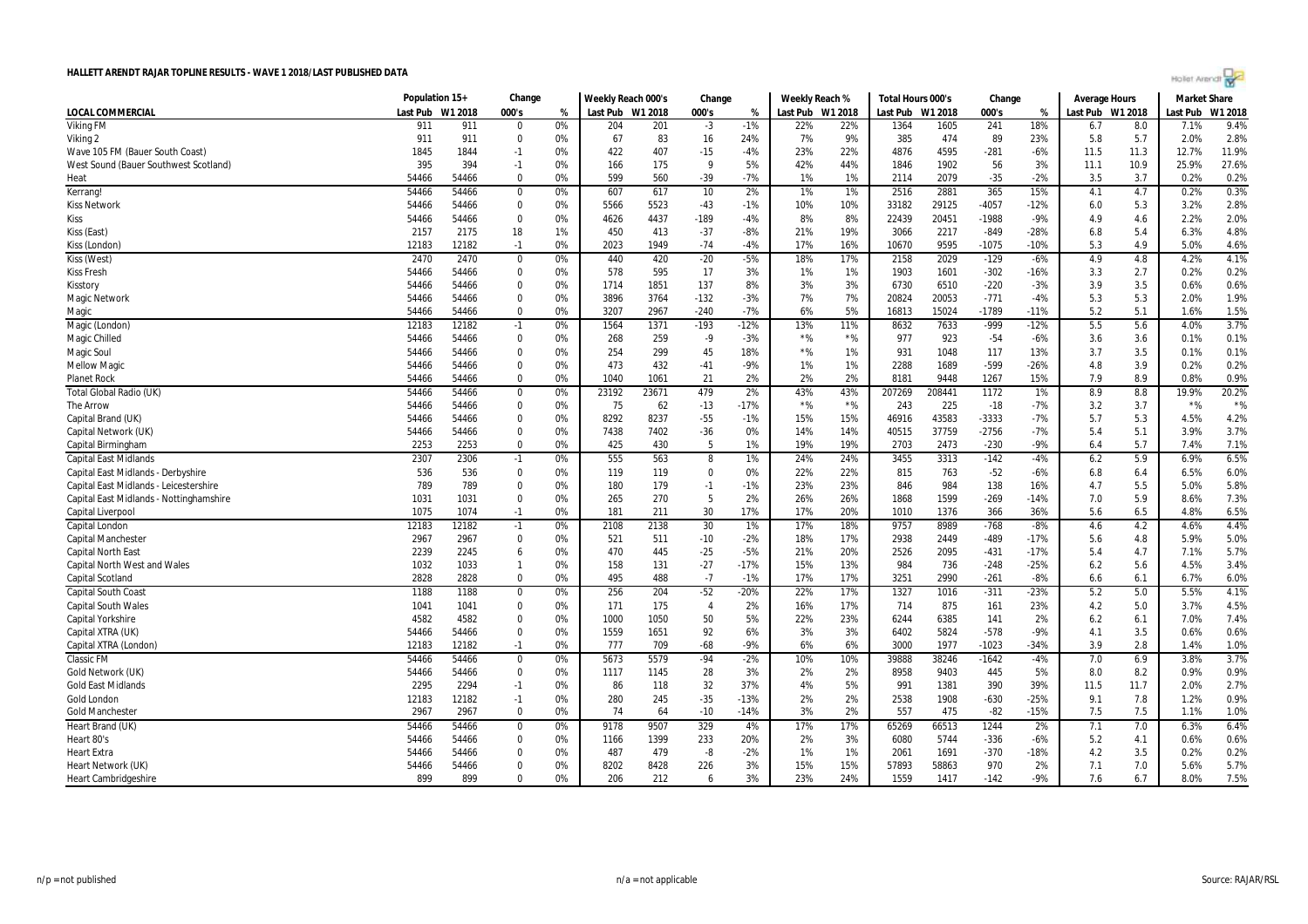|  | Agilet Arengr |  |  |
|--|---------------|--|--|
|  |               |  |  |

|                                         | Population 15+ |         | Change       |    | Weekly Reach 000's |       | Change         |        | Weekly Reach % |                  | Total Hours 000's |         | Change  |        | <b>Average Hours</b> |      | <b>Market Share</b> |         |
|-----------------------------------------|----------------|---------|--------------|----|--------------------|-------|----------------|--------|----------------|------------------|-------------------|---------|---------|--------|----------------------|------|---------------------|---------|
| LOCAL COMMERCIAL                        | Last Pub       | W1 2018 | 000's        | %  | Last Pub W1 2018   |       | 000's          | %      |                | Last Pub W1 2018 | Last Pub          | W1 2018 | 000's   | %      | Last Pub W1 2018     |      | Last Pub            | W1 2018 |
| <b>Viking FM</b>                        | 911            | 911     | $\Omega$     | 0% | 204                | 201   | $-3$           | $-1%$  | 22%            | 22%              | 1364              | 1605    | 241     | 18%    | 6.7                  | 8.0  | 7.1%                | 9.4%    |
| Viking 2                                | 911            | 911     | $\Omega$     | 0% | 67                 | 83    | 16             | 24%    | 7%             | 9%               | 385               | 474     | 89      | 23%    | 5.8                  | 5.7  | 2.0%                | 2.8%    |
| Wave 105 FM (Bauer South Coast)         | 1845           | 1844    | $-1$         | 0% | 422                | 407   | $-15$          | $-4%$  | 23%            | 22%              | 4876              | 4595    | $-281$  | $-6%$  | 11.5                 | 11.3 | 12.7%               | 11.9%   |
| West Sound (Bauer Southwest Scotland)   | 395            | 394     | $-1$         | 0% | 166                | 175   | 9              | 5%     | 42%            | 44%              | 1846              | 1902    | 56      | 3%     | 11.1                 | 10.9 | 25.9%               | 27.6%   |
| Heat                                    | 54466          | 54466   | $\Omega$     | 0% | 599                | 560   | $-39$          | $-7%$  | 1%             | 1%               | 2114              | 2079    | $-35$   | $-2%$  | 3.5                  | 3.7  | 0.2%                | 0.2%    |
| Kerrang!                                | 54466          | 54466   | $\mathbf 0$  | 0% | 607                | 617   | 10             | 2%     | 1%             | 1%               | 2516              | 2881    | 365     | 15%    | 4.1                  | 4.7  | 0.2%                | 0.3%    |
| <b>Kiss Network</b>                     | 54466          | 54466   | $\Omega$     | 0% | 5566               | 5523  | $-43$          | $-1%$  | 10%            | 10%              | 33182             | 29125   | -4057   | $-12%$ | 6.0                  | 5.3  | 3.2%                | 2.8%    |
| Kiss                                    | 54466          | 54466   | $\Omega$     | 0% | 4626               | 4437  | $-189$         | $-4%$  | 8%             | 8%               | 22439             | 20451   | $-1988$ | $-9%$  | 4.9                  | 4.6  | 2.2%                | 2.0%    |
| Kiss (East)                             | 2157           | 2175    | 18           | 1% | 450                | 413   | $-37$          | $-8%$  | 21%            | 19%              | 3066              | 2217    | $-849$  | $-28%$ | 6.8                  | 5.4  | 6.3%                | 4.8%    |
| Kiss (London)                           | 12183          | 12182   | $-1$         | 0% | 2023               | 1949  | -74            | $-4%$  | 17%            | 16%              | 10670             | 9595    | $-1075$ | $-10%$ | 5.3                  | 4.9  | 5.0%                | 4.6%    |
| Kiss (West)                             | 2470           | 2470    | $\mathbf 0$  | 0% | 440                | 420   | $-20$          | $-5%$  | 18%            | 17%              | 2158              | 2029    | $-129$  | $-6%$  | 4.9                  | 4.8  | 4.2%                | 4.1%    |
| <b>Kiss Fresh</b>                       | 54466          | 54466   | $\mathbf 0$  | 0% | 578                | 595   | 17             | 3%     | 1%             | 1%               | 1903              | 1601    | $-302$  | $-16%$ | 3.3                  | 2.7  | 0.2%                | 0.2%    |
| Kisstory                                | 54466          | 54466   | $\Omega$     | 0% | 1714               | 1851  | 137            | 8%     | 3%             | 3%               | 6730              | 6510    | $-220$  | $-3%$  | 3.9                  | 3.5  | 0.6%                | 0.6%    |
| <b>Magic Network</b>                    | 54466          | 54466   | $\mathbf 0$  | 0% | 3896               | 3764  | $-132$         | $-3%$  | 7%             | 7%               | 20824             | 20053   | $-771$  | $-4%$  | 5.3                  | 5.3  | 2.0%                | 1.9%    |
| Magic                                   | 54466          | 54466   | $\Omega$     | 0% | 3207               | 2967  | $-240$         | $-7%$  | 6%             | 5%               | 16813             | 15024   | $-1789$ | $-11%$ | 5.2                  | 5.1  | 1.6%                | 1.5%    |
| Magic (London)                          | 12183          | 12182   | $-1$         | 0% | 1564               | 1371  | $-193$         | $-12%$ | 13%            | 11%              | 8632              | 7633    | -999    | $-12%$ | 5.5                  | 5.6  | 4.0%                | 3.7%    |
| Magic Chilled                           | 54466          | 54466   | $\Omega$     | 0% | 268                | 259   | $-9$           | $-3%$  | $*$ %          | $*$ %            | 977               | 923     | $-54$   | $-6%$  | 3.6                  | 3.6  | 0.1%                | 0.1%    |
| Magic Soul                              | 54466          | 54466   | $\Omega$     | 0% | 254                | 299   | 45             | 18%    | $*$ %          | 1%               | 931               | 1048    | 117     | 13%    | 3.7                  | 3.5  | 0.1%                | 0.1%    |
| <b>Mellow Magic</b>                     | 54466          | 54466   | $\Omega$     | 0% | 473                | 432   | $-41$          | $-9%$  | 1%             | 1%               | 2288              | 1689    | $-599$  | $-26%$ | 4.8                  | 3.9  | 0.2%                | 0.2%    |
| <b>Planet Rock</b>                      | 54466          | 54466   | $\Omega$     | 0% | 1040               | 1061  | 21             | 2%     | 2%             | 2%               | 8181              | 9448    | 1267    | 15%    | 7.9                  | 8.9  | 0.8%                | 0.9%    |
| Total Global Radio (UK)                 | 54466          | 54466   | $\mathbf 0$  | 0% | 23192              | 23671 | 479            | 2%     | 43%            | 43%              | 207269            | 208441  | 1172    | 1%     | 8.9                  | 8.8  | 19.9%               | 20.2%   |
| The Arrow                               | 54466          | 54466   | $\Omega$     | 0% | 75                 | 62    | $-13$          | $-17%$ | $*$ %          | $*$ %            | 243               | 225     | $-18$   | $-7%$  | 3.2                  | 3.7  | $*$ %               | $*$ %   |
| Capital Brand (UK)                      | 54466          | 54466   | $\mathbf 0$  | 0% | 8292               | 8237  | $-55$          | $-1%$  | 15%            | 15%              | 46916             | 43583   | -3333   | $-7%$  | 5.7                  | 5.3  | 4.5%                | 4.2%    |
| Capital Network (UK)                    | 54466          | 54466   | $\mathbf 0$  | 0% | 7438               | 7402  | $-36$          | 0%     | 14%            | 14%              | 40515             | 37759   | $-2756$ | $-7%$  | 5.4                  | 5.1  | 3.9%                | 3.7%    |
| Capital Birmingham                      | 2253           | 2253    | $\Omega$     | 0% | 425                | 430   | 5              | 1%     | 19%            | 19%              | 2703              | 2473    | $-230$  | $-9%$  | 6.4                  | 5.7  | 7.4%                | 7.1%    |
| <b>Capital East Midlands</b>            | 2307           | 2306    | $-1$         | 0% | 555                | 563   | 8              | 1%     | 24%            | 24%              | 3455              | 3313    | $-142$  | $-4%$  | 6.2                  | 5.9  | 6.9%                | 6.5%    |
| Capital East Midlands - Derbyshire      | 536            | 536     | $\Omega$     | 0% | 119                | 119   | $\Omega$       | 0%     | 22%            | 22%              | 815               | 763     | $-52$   | $-6%$  | 6.8                  | 6.4  | 6.5%                | 6.0%    |
| Capital East Midlands - Leicestershire  | 789            | 789     | $\Omega$     | 0% | 180                | 179   | $-1$           | $-1%$  | 23%            | 23%              | 846               | 984     | 138     | 16%    | 4.7                  | 5.5  | 5.0%                | 5.8%    |
| Capital East Midlands - Nottinghamshire | 1031           | 1031    | $\Omega$     | 0% | 265                | 270   | 5              | 2%     | 26%            | 26%              | 1868              | 1599    | $-269$  | $-14%$ | 7.0                  | 5.9  | 8.6%                | 7.3%    |
| Capital Liverpool                       | 1075           | 1074    | $-1$         | 0% | 181                | 211   | 30             | 17%    | 17%            | 20%              | 1010              | 1376    | 366     | 36%    | 5.6                  | 6.5  | 4.8%                | 6.5%    |
| Capital London                          | 12183          | 12182   | $-1$         | 0% | 2108               | 2138  | 30             | 1%     | 17%            | 18%              | 9757              | 8989    | $-768$  | $-8%$  | 4.6                  | 4.2  | 4.6%                | 4.4%    |
| <b>Capital Mancheste</b>                | 2967           | 2967    | $\mathbf 0$  | 0% | 521                | 511   | $-10$          | $-2%$  | 18%            | 17%              | 2938              | 2449    | -489    | -17%   | 5.6                  | 4.8  | 5.9%                | 5.0%    |
| <b>Capital North East</b>               | 2239           | 2245    | 6            | 0% | 470                | 445   | $-25$          | $-5%$  | 21%            | 20%              | 2526              | 2095    | $-431$  | $-17%$ | 5.4                  | 4.7  | 7.1%                | 5.7%    |
| <b>Capital North West and Wales</b>     | 1032           | 1033    | $\mathbf{1}$ | 0% | 158                | 131   | $-27$          | $-17%$ | 15%            | 13%              | 984               | 736     | $-248$  | $-25%$ | 6.2                  | 5.6  | 4.5%                | 3.4%    |
| <b>Capital Scotland</b>                 | 2828           | 2828    | $\Omega$     | 0% | 495                | 488   | $-7$           | $-1%$  | 17%            | 17%              | 3251              | 2990    | $-261$  | $-8%$  | 6.6                  | 6.1  | 6.7%                | 6.0%    |
| <b>Capital South Coast</b>              | 1188           | 1188    | $\mathbf 0$  | 0% | 256                | 204   | $-52$          | $-20%$ | 22%            | 17%              | 1327              | 1016    | $-311$  | $-23%$ | 5.2                  | 5.0  | 5.5%                | 4.1%    |
| <b>Capital South Wales</b>              | 1041           | 1041    | $\Omega$     | 0% | 171                | 175   | $\overline{4}$ | 2%     | 16%            | 17%              | 714               | 875     | 161     | 23%    | 4.2                  | 5.0  | 3.7%                | 4.5%    |
| <b>Capital Yorkshire</b>                | 4582           | 4582    | $\Omega$     | 0% | 1000               | 1050  | 50             | 5%     | 22%            | 23%              | 6244              | 6385    | 141     | 2%     | 6.2                  | 6.1  | 7.0%                | 7.4%    |
| Capital XTRA (UK)                       | 54466          | 54466   | $\mathbf 0$  | 0% | 1559               | 1651  | 92             | 6%     | 3%             | 3%               | 6402              | 5824    | $-578$  | $-9%$  | 4.1                  | 3.5  | 0.6%                | 0.6%    |
| Capital XTRA (London)                   | 12183          | 12182   | $-1$         | 0% | 777                | 709   | $-68$          | $-9%$  | 6%             | 6%               | 3000              | 1977    | $-1023$ | $-34%$ | 3.9                  | 2.8  | 1.4%                | 1.0%    |
| Classic FM                              | 54466          | 54466   | 0            | 0% | 5673               | 5579  | $-94$          | $-2%$  | 10%            | 10%              | 39888             | 38246   | $-1642$ | $-4%$  | 7.0                  | 6.9  | 3.8%                | 3.7%    |
| Gold Network (UK)                       | 54466          | 54466   | $\Omega$     | 0% | 1117               | 1145  | 28             | 3%     | 2%             | 2%               | 8958              | 9403    | 445     | 5%     | 8.0                  | 8.2  | 0.9%                | 0.9%    |
| <b>Gold East Midlands</b>               | 2295           | 2294    | $-1$         | 0% | 86                 | 118   | 32             | 37%    | 4%             | 5%               | 991               | 1381    | 390     | 39%    | 11.5                 | 11.7 | 2.0%                | 2.7%    |
| Gold London                             | 12183          | 12182   | $-1$         | 0% | 280                | 245   | $-35$          | $-13%$ | 2%             | 2%               | 2538              | 1908    | $-630$  | $-25%$ | 9.1                  | 7.8  | 1.2%                | 0.9%    |
| <b>Gold Manchester</b>                  | 2967           | 2967    | $\Omega$     | 0% | 74                 | 64    | $-10$          | $-14%$ | 3%             | 2%               | 557               | 475     | $-82$   | $-15%$ | 7.5                  | 7.5  | 1.1%                | 1.0%    |
| Heart Brand (UK)                        | 54466          | 54466   | $\mathbf 0$  | 0% | 9178               | 9507  | 329            | 4%     | 17%            | 17%              | 65269             | 66513   | 1244    | 2%     | 7.1                  | 7.0  | 6.3%                | 6.4%    |
| Heart 80's                              | 54466          | 54466   | $\Omega$     | 0% | 1166               | 1399  | 233            | 20%    | 2%             | 3%               | 6080              | 5744    | $-336$  | $-6%$  | 5.2                  | 4.1  | 0.6%                | 0.6%    |
| <b>Heart Extra</b>                      | 54466          | 54466   | $\mathbf 0$  | 0% | 487                | 479   | -8             | $-2%$  | 1%             | 1%               | 2061              | 1691    | $-370$  | -18%   | 4.2                  | 3.5  | 0.2%                | 0.2%    |
| Heart Network (UK)                      | 54466          | 54466   | $\Omega$     | 0% | 8202               | 8428  | 226            | 3%     | 15%            | 15%              | 57893             | 58863   | 970     | 2%     | 7.1                  | 7.0  | 5.6%                | 5.7%    |
| <b>Heart Cambridgeshire</b>             | 899            | 899     | $\Omega$     | 0% | 206                | 212   | 6              | 3%     | 23%            | 24%              | 1559              | 1417    | $-142$  | $-9%$  | 7.6                  | 6.7  | 8.0%                | 7.5%    |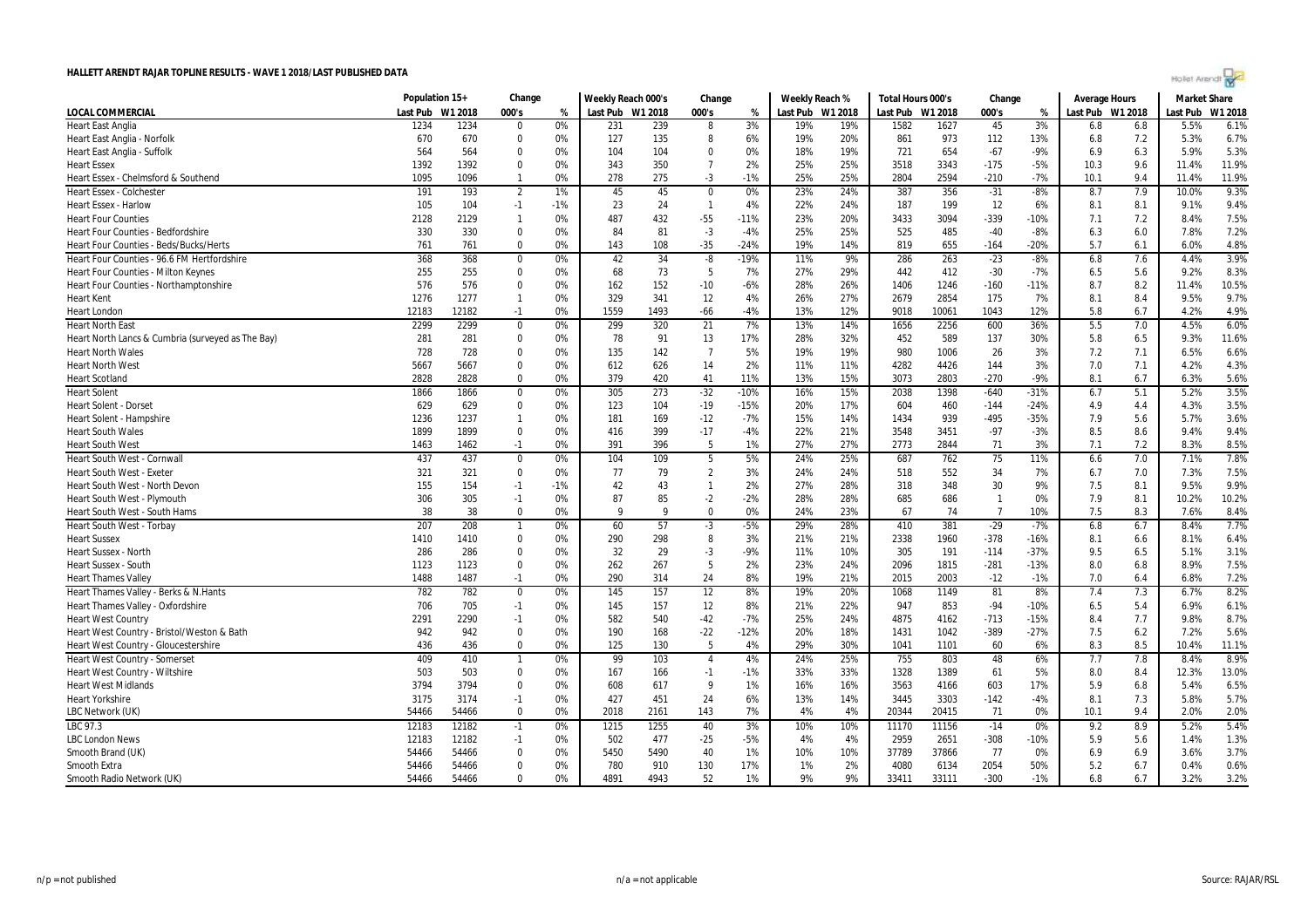| Hollet Arendt |  |  |  |
|---------------|--|--|--|
|               |  |  |  |

|                                                   | Population 15+ |         | Change         |       | Weekly Reach 000's |      | Change          |        |     | Weekly Reach %   | Total Hours 000's |         | Change         |        | <b>Average Hours</b> |     | <b>Market Share</b> |         |
|---------------------------------------------------|----------------|---------|----------------|-------|--------------------|------|-----------------|--------|-----|------------------|-------------------|---------|----------------|--------|----------------------|-----|---------------------|---------|
| LOCAL COMMERCIAL                                  | Last Pub       | W1 2018 | 000's          | %     | Last Pub W1 2018   |      | 000's           | %      |     | Last Pub W1 2018 | Last Pub          | W1 2018 | 000's          | %      | Last Pub W1 2018     |     | Last Pub            | W1 2018 |
| <b>Heart East Anglia</b>                          | 1234           | 1234    | $\Omega$       | 0%    | 231                | 239  | 8               | 3%     | 19% | 19%              | 1582              | 1627    | 45             | 3%     | 6.8                  | 6.8 | 5.5%                | 6.1%    |
| Heart East Anglia - Norfolk                       | 670            | 670     | $\Omega$       | 0%    | 127                | 135  | 8               | 6%     | 19% | 20%              | 861               | 973     | 112            | 13%    | 6.8                  | 7.2 | 5.3%                | 6.7%    |
| Heart East Anglia - Suffolk                       | 564            | 564     | $\Omega$       | 0%    | 104                | 104  | $\Omega$        | 0%     | 18% | 19%              | 721               | 654     | $-67$          | $-9%$  | 6.9                  | 6.3 | 5.9%                | 5.3%    |
| <b>Heart Essex</b>                                | 1392           | 1392    | $\Omega$       | 0%    | 343                | 350  | $\overline{7}$  | 2%     | 25% | 25%              | 3518              | 3343    | $-175$         | $-5%$  | 10.3                 | 9.6 | 11.4%               | 11.9%   |
| Heart Essex - Chelmsford & Southend               | 1095           | 1096    | $\mathbf{1}$   | 0%    | 278                | 275  | $-3$            | $-1%$  | 25% | 25%              | 2804              | 2594    | $-210$         | $-7%$  | 10.1                 | 9.4 | 11.4%               | 11.9%   |
| <b>Heart Essex - Colchester</b>                   | 191            | 193     | $\overline{2}$ | 1%    | 45                 | 45   | $\mathbf 0$     | 0%     | 23% | 24%              | 387               | 356     | $-31$          | $-8%$  | 8.7                  | 7.9 | 10.0%               | 9.3%    |
| <b>Heart Essex - Harlow</b>                       | 105            | 104     | $-1$           | $-1%$ | 23                 | 24   | $\overline{1}$  | 4%     | 22% | 24%              | 187               | 199     | 12             | 6%     | 8.1                  | 8.1 | 9.1%                | 9.4%    |
| <b>Heart Four Counties</b>                        | 2128           | 2129    | $\mathbf{1}$   | 0%    | 487                | 432  | $-55$           | $-11%$ | 23% | 20%              | 3433              | 3094    | $-339$         | $-10%$ | 7.1                  | 7.2 | 8.4%                | 7.5%    |
| <b>Heart Four Counties - Bedfordshire</b>         | 330            | 330     | $\Omega$       | 0%    | 84                 | 81   | $-3$            | $-4%$  | 25% | 25%              | 525               | 485     | $-40$          | $-8%$  | 6.3                  | 6.0 | 7.8%                | 7.2%    |
| Heart Four Counties - Beds/Bucks/Herts            | 761            | 761     | $\mathbf 0$    | 0%    | 143                | 108  | $-35$           | $-24%$ | 19% | 14%              | 819               | 655     | $-164$         | $-20%$ | 5.7                  | 6.1 | 6.0%                | 4.8%    |
| Heart Four Counties - 96.6 FM Hertfordshire       | 368            | 368     | $\Omega$       | 0%    | 42                 | 34   | $-8$            | $-19%$ | 11% | 9%               | 286               | 263     | $-23$          | $-8%$  | 6.8                  | 7.6 | 4.4%                | 3.9%    |
| <b>Heart Four Counties - Milton Keynes</b>        | 255            | 255     | $\Omega$       | 0%    | 68                 | 73   | 5               | 7%     | 27% | 29%              | 442               | 412     | $-30$          | $-7%$  | 6.5                  | 5.6 | 9.2%                | 8.3%    |
| Heart Four Counties - Northamptonshire            | 576            | 576     | $\Omega$       | 0%    | 162                | 152  | $-10$           | $-6%$  | 28% | 26%              | 1406              | 1246    | $-160$         | $-11%$ | 8.7                  | 8.2 | 11.4%               | 10.5%   |
| <b>Heart Kent</b>                                 | 1276           | 1277    | $\mathbf{1}$   | 0%    | 329                | 341  | 12              | 4%     | 26% | 27%              | 2679              | 2854    | 175            | 7%     | 8.1                  | 8.4 | 9.5%                | 9.7%    |
| <b>Heart London</b>                               | 12183          | 12182   | $-1$           | 0%    | 1559               | 1493 | $-66$           | $-4%$  | 13% | 12%              | 9018              | 10061   | 1043           | 12%    | 5.8                  | 6.7 | 4.2%                | 4.9%    |
| <b>Heart North East</b>                           | 2299           | 2299    | $\mathbf 0$    | 0%    | 299                | 320  | 21              | 7%     | 13% | 14%              | 1656              | 2256    | 600            | 36%    | 5.5                  | 7.0 | 4.5%                | 6.0%    |
| Heart North Lancs & Cumbria (surveyed as The Bay) | 281            | 281     | $\mathbf 0$    | 0%    | 78                 | 91   | 13              | 17%    | 28% | 32%              | 452               | 589     | 137            | 30%    | 5.8                  | 6.5 | 9.3%                | 11.6%   |
| <b>Heart North Wales</b>                          | 728            | 728     | $\mathbf 0$    | 0%    | 135                | 142  | $\overline{7}$  | 5%     | 19% | 19%              | 980               | 1006    | 26             | 3%     | 7.2                  | 7.1 | 6.5%                | 6.6%    |
| <b>Heart North West</b>                           | 5667           | 5667    | $\mathbf 0$    | 0%    | 612                | 626  | 14              | 2%     | 11% | 11%              | 4282              | 4426    | 144            | 3%     | 7.0                  | 7.1 | 4.2%                | 4.3%    |
| <b>Heart Scotland</b>                             | 2828           | 2828    | $\Omega$       | 0%    | 379                | 420  | 41              | 11%    | 13% | 15%              | 3073              | 2803    | $-270$         | $-9%$  | 8.1                  | 6.7 | 6.3%                | 5.6%    |
| <b>Heart Solent</b>                               | 1866           | 1866    | $\overline{0}$ | 0%    | 305                | 273  | $-32$           | $-10%$ | 16% | 15%              | 2038              | 1398    | $-640$         | $-31%$ | 6.7                  | 5.1 | 5.2%                | 3.5%    |
| <b>Heart Solent - Dorse</b>                       | 629            | 629     | $\Omega$       | 0%    | 123                | 104  | $-19$           | $-15%$ | 20% | 17%              | 604               | 460     | $-144$         | $-24%$ | 4.9                  | 4.4 | 4.3%                | 3.5%    |
| Heart Solent - Hampshire                          | 1236           | 1237    | $\mathbf{1}$   | 0%    | 181                | 169  | $-12$           | $-7%$  | 15% | 14%              | 1434              | 939     | $-495$         | $-35%$ | 7.9                  | 5.6 | 5.7%                | 3.6%    |
| <b>Heart South Wales</b>                          | 1899           | 1899    | $\mathbf 0$    | 0%    | 416                | 399  | $-17$           | -4%    | 22% | 21%              | 3548              | 3451    | $-97$          | $-3%$  | 8.5                  | 8.6 | 9.4%                | 9.4%    |
| <b>Heart South West</b>                           | 1463           | 1462    | $-1$           | 0%    | 391                | 396  | -5              | 1%     | 27% | 27%              | 2773              | 2844    | 71             | 3%     | 7.1                  | 7.2 | 8.3%                | 8.5%    |
| Heart South West - Cornwall                       | 437            | 437     | $\mathbf 0$    | 0%    | 104                | 109  | 5               | 5%     | 24% | 25%              | 687               | 762     | 75             | 11%    | 6.6                  | 7.0 | 7.1%                | 7.8%    |
| <b>Heart South West - Exeter</b>                  | 321            | 321     | $\mathbf 0$    | 0%    | 77                 | 79   | $\overline{2}$  | 3%     | 24% | 24%              | 518               | 552     | 34             | 7%     | 6.7                  | 7.0 | 7.3%                | 7.5%    |
| Heart South West - North Devon                    | 155            | 154     | $-1$           | $-1%$ | 42                 | 43   | $\mathbf{1}$    | 2%     | 27% | 28%              | 318               | 348     | 30             | 9%     | 7.5                  | 8.1 | 9.5%                | 9.9%    |
| Heart South West - Plymouth                       | 306            | 305     | $-1$           | 0%    | 87                 | 85   | $-2$            | $-2%$  | 28% | 28%              | 685               | 686     | $\overline{1}$ | 0%     | 7.9                  | 8.1 | 10.2%               | 10.2%   |
| Heart South West - South Hams                     | 38             | 38      | $\Omega$       | 0%    | 9                  | q    | $\Omega$        | 0%     | 24% | 23%              | 67                | -74     | -7             | 10%    | 7.5                  | 8.3 | 7.6%                | 8.4%    |
| <b>Heart South West - Torbay</b>                  | 207            | 208     | $\mathbf{1}$   | 0%    | 60                 | 57   | $-3$            | $-5%$  | 29% | 28%              | 410               | 381     | $-29$          | $-7%$  | 6.8                  | 6.7 | 8.4%                | 7.7%    |
| <b>Heart Sussex</b>                               | 1410           | 1410    | $\Omega$       | 0%    | 290                | 298  | 8               | 3%     | 21% | 21%              | 2338              | 1960    | $-378$         | $-16%$ | 8.1                  | 6.6 | 8.1%                | 6.4%    |
| <b>Heart Sussex - North</b>                       | 286            | 286     | $\mathbf 0$    | 0%    | 32                 | 29   | $-3$            | $-9%$  | 11% | 10%              | 305               | 191     | $-114$         | $-37%$ | 9.5                  | 6.5 | 5.1%                | 3.1%    |
| <b>Heart Sussex - South</b>                       | 1123           | 1123    | $\Omega$       | 0%    | 262                | 267  | 5               | 2%     | 23% | 24%              | 2096              | 1815    | $-281$         | $-13%$ | 8.0                  | 6.8 | 8.9%                | 7.5%    |
| <b>Heart Thames Valley</b>                        | 1488           | 1487    | $-1$           | 0%    | 290                | 314  | 24              | 8%     | 19% | 21%              | 2015              | 2003    | $-12$          | $-1%$  | 7.0                  | 6.4 | 6.8%                | 7.2%    |
| Heart Thames Valley - Berks & N.Hants             | 782            | 782     | $\bf{0}$       | 0%    | 145                | 157  | $\overline{12}$ | 8%     | 19% | 20%              | 1068              | 1149    | 81             | 8%     | 7.4                  | 7.3 | 6.7%                | 8.2%    |
| Heart Thames Valley - Oxfordshire                 | 706            | 705     | $-1$           | 0%    | 145                | 157  | 12              | 8%     | 21% | 22%              | 947               | 853     | $-94$          | $-10%$ | 6.5                  | 5.4 | 6.9%                | 6.1%    |
| <b>Heart West Country</b>                         | 2291           | 2290    | $-1$           | 0%    | 582                | 540  | $-42$           | $-7%$  | 25% | 24%              | 4875              | 4162    | $-713$         | $-15%$ | 8.4                  | 7.7 | 9.8%                | 8.7%    |
| Heart West Country - Bristol/Weston & Bath        | 942            | 942     | $\mathbf 0$    | 0%    | 190                | 168  | $-22$           | $-12%$ | 20% | 18%              | 1431              | 1042    | $-389$         | $-27%$ | 7.5                  | 6.2 | 7.2%                | 5.6%    |
| Heart West Country - Gloucestershire              | 436            | 436     | $\Omega$       | 0%    | 125                | 130  | -5              | 4%     | 29% | 30%              | 1041              | 1101    | 60             | 6%     | 8.3                  | 8.5 | 10.4%               | 11.1%   |
| Heart West Country - Somerset                     | 409            | 410     | $\mathbf{1}$   | 0%    | 99                 | 103  | $\overline{4}$  | 4%     | 24% | 25%              | 755               | 803     | 48             | 6%     | 7.7                  | 7.8 | 8.4%                | 8.9%    |
| Heart West Country - Wiltshire                    | 503            | 503     | $\Omega$       | 0%    | 167                | 166  | $-1$            | $-1%$  | 33% | 33%              | 1328              | 1389    | 61             | 5%     | 8.0                  | 8.4 | 12.3%               | 13.0%   |
| <b>Heart West Midlands</b>                        | 3794           | 3794    | $\Omega$       | 0%    | 608                | 617  | 9               | 1%     | 16% | 16%              | 3563              | 4166    | 603            | 17%    | 5.9                  | 6.8 | 5.4%                | 6.5%    |
| <b>Heart Yorkshire</b>                            | 3175           | 3174    | $-1$           | 0%    | 427                | 451  | 24              | 6%     | 13% | 14%              | 3445              | 3303    | $-142$         | $-4%$  | 8.1                  | 7.3 | 5.8%                | 5.7%    |
| LBC Network (UK)                                  | 54466          | 54466   | $\Omega$       | 0%    | 2018               | 2161 | 143             | 7%     | 4%  | 4%               | 20344             | 20415   | 71             | 0%     | 10.1                 | 9.4 | 2.0%                | 2.0%    |
| LBC 97.3                                          | 12183          | 12182   | $-1$           | 0%    | 1215               | 1255 | 40              | 3%     | 10% | 10%              | 11170             | 11156   | $-14$          | 0%     | 9.2                  | 8.9 | 5.2%                | 5.4%    |
| <b>LBC London News</b>                            | 12183          | 12182   | $-1$           | 0%    | 502                | 477  | $-25$           | $-5%$  | 4%  | 4%               | 2959              | 2651    | $-308$         | $-10%$ | 5.9                  | 5.6 | 1.4%                | 1.3%    |
| Smooth Brand (UK)                                 | 54466          | 54466   | $\mathbf 0$    | 0%    | 5450               | 5490 | 40              | 1%     | 10% | 10%              | 37789             | 37866   | 77             | 0%     | 6.9                  | 6.9 | 3.6%                | 3.7%    |
| Smooth Extra                                      | 54466          | 54466   | $\mathbf 0$    | 0%    | 780                | 910  | 130             | 17%    | 1%  | 2%               | 4080              | 6134    | 2054           | 50%    | 5.2                  | 6.7 | 0.4%                | 0.6%    |
| Smooth Radio Network (UK)                         | 54466          | 54466   | $\Omega$       | 0%    | 4891               | 4943 | 52              | 1%     | 9%  | 9%               | 33411             | 33111   | $-300$         | $-1%$  | 6.8                  | 6.7 | 3.2%                | 3.2%    |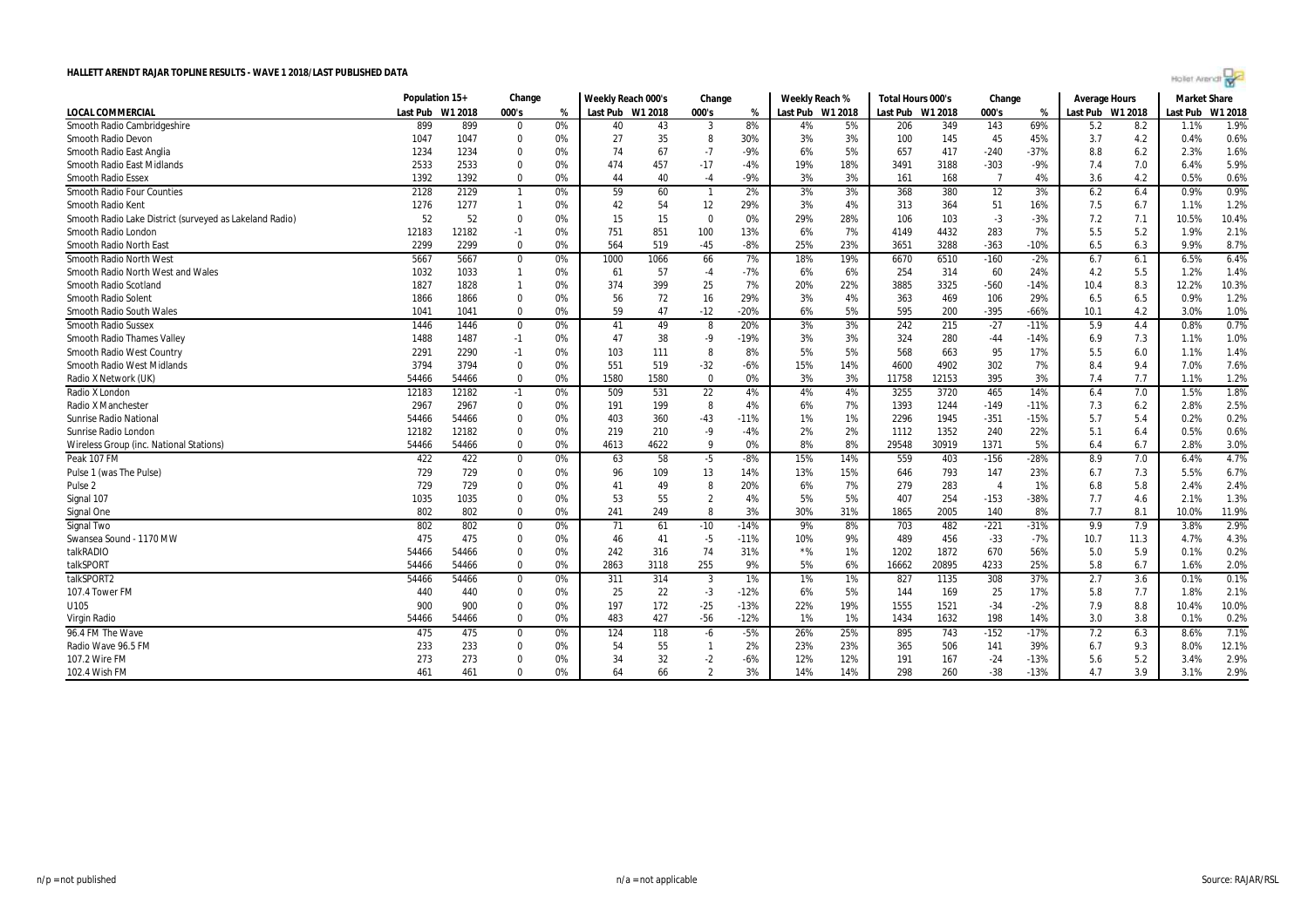|  | Hollet Arendt |  |  |
|--|---------------|--|--|
|  |               |  |  |

|                                                         | Population 15+ |         | Change         |    | Weekly Reach 000's |      | Change                  |        | Weekly Reach %   |     | Total Hours 000's |       | Change         |        | <b>Average Hours</b> |      | <b>Market Share</b> |         |
|---------------------------------------------------------|----------------|---------|----------------|----|--------------------|------|-------------------------|--------|------------------|-----|-------------------|-------|----------------|--------|----------------------|------|---------------------|---------|
| <b>LOCAL COMMERCIAL</b>                                 | Last Pub       | W1 2018 | 000's          | %  | Last Pub W1 2018   |      | 000's                   | %      | Last Pub W1 2018 |     | Last Pub W1 2018  |       | 000's          | %      | Last Pub W1 2018     |      | Last Pub            | W1 2018 |
| Smooth Radio Cambridgeshire                             | 899            | 899     | 0              | 0% | 40                 | 43   | $\overline{\mathbf{3}}$ | 8%     | 4%               | 5%  | 206               | 349   | 143            | 69%    | 5.2                  | 8.2  | 1.1%                | 1.9%    |
| <b>Smooth Radio Devon</b>                               | 1047           | 1047    | $\mathbf 0$    | 0% | 27                 | 35   | 8                       | 30%    | 3%               | 3%  | 100               | 145   | 45             | 45%    | 3.7                  | 4.2  | 0.4%                | 0.6%    |
| Smooth Radio East Anglia                                | 1234           | 1234    | $\mathbf 0$    | 0% | 74                 | 67   | $-7$                    | $-9%$  | 6%               | 5%  | 657               | 417   | $-240$         | $-37%$ | 8.8                  | 6.2  | 2.3%                | 1.6%    |
| <b>Smooth Radio East Midlands</b>                       | 2533           | 2533    | $\mathbf{0}$   | 0% | 474                | 457  | $-17$                   | -4%    | 19%              | 18% | 3491              | 3188  | $-303$         | $-9%$  | 7.4                  | 7.0  | 6.4%                | 5.9%    |
| <b>Smooth Radio Essex</b>                               | 1392           | 1392    | $\mathbf{0}$   | 0% | 44                 | 40   | $-4$                    | -9%    | 3%               | 3%  | 161               | 168   | $\overline{7}$ | 4%     | 3.6                  | 4.2  | 0.5%                | 0.6%    |
| Smooth Radio Four Counties                              | 2128           | 2129    | $\overline{1}$ | 0% | 59                 | 60   | $\overline{1}$          | 2%     | 3%               | 3%  | 368               | 380   | 12             | 3%     | 6.2                  | 6.4  | 0.9%                | 0.9%    |
| Smooth Radio Kent                                       | 1276           | 1277    | $\overline{1}$ | 0% | 42                 | 54   | 12                      | 29%    | 3%               | 4%  | 313               | 364   | 51             | 16%    | 7.5                  | 6.7  | 1.1%                | 1.2%    |
| Smooth Radio Lake District (surveyed as Lakeland Radio) | 52             | 52      | $\mathbf 0$    | 0% | 15                 | 15   | $\mathbf{0}$            | 0%     | 29%              | 28% | 106               | 103   | $-3$           | $-3%$  | 7.2                  | 7.1  | 10.5%               | 10.4%   |
| Smooth Radio London                                     | 12183          | 12182   | $-1$           | 0% | 751                | 851  | 100                     | 13%    | 6%               | 7%  | 4149              | 4432  | 283            | 7%     | 5.5                  | 5.2  | 1.9%                | 2.1%    |
| Smooth Radio North East                                 | 2299           | 2299    | $\mathbf 0$    | 0% | 564                | 519  | $-45$                   | $-8%$  | 25%              | 23% | 3651              | 3288  | $-363$         | $-10%$ | 6.5                  | 6.3  | 9.9%                | 8.7%    |
| Smooth Radio North West                                 | 5667           | 5667    | $\mathbf 0$    | 0% | 1000               | 1066 | 66                      | 7%     | 18%              | 19% | 6670              | 6510  | $-160$         | $-2%$  | 6.7                  | 6.1  | 6.5%                | 6.4%    |
| Smooth Radio North West and Wales                       | 1032           | 1033    | $\overline{1}$ | 0% | 61                 | 57   | $-4$                    | $-7%$  | 6%               | 6%  | 254               | 314   | 60             | 24%    | 4.2                  | 5.5  | 1.2%                | 1.4%    |
| Smooth Radio Scotland                                   | 1827           | 1828    | $\overline{1}$ | 0% | 374                | 399  | 25                      | 7%     | 20%              | 22% | 3885              | 3325  | $-560$         | $-14%$ | 10.4                 | 8.3  | 12.2%               | 10.3%   |
| Smooth Radio Solent                                     | 1866           | 1866    | $\mathbf 0$    | 0% | 56                 | 72   | 16                      | 29%    | 3%               | 4%  | 363               | 469   | 106            | 29%    | 6.5                  | 6.5  | 0.9%                | 1.2%    |
| Smooth Radio South Wales                                | 1041           | 1041    | $\mathbf{0}$   | 0% | 59                 | 47   | $-12$                   | $-20%$ | 6%               | 5%  | 595               | 200   | $-395$         | $-66%$ | 10.1                 | 4.2  | 3.0%                | 1.0%    |
| <b>Smooth Radio Sussex</b>                              | 1446           | 1446    | $\mathbf 0$    | 0% | 41                 | 49   | 8                       | 20%    | 3%               | 3%  | 242               | 215   | $-27$          | $-11%$ | 5.9                  | 4.4  | 0.8%                | 0.7%    |
| <b>Smooth Radio Thames Valley</b>                       | 1488           | 1487    | $-1$           | 0% | 47                 | 38   | $-9$                    | $-19%$ | 3%               | 3%  | 324               | 280   | $-44$          | $-14%$ | 6.9                  | 7.3  | 1.1%                | 1.0%    |
| Smooth Radio West Country                               | 2291           | 2290    | $-1$           | 0% | 103                | 111  | - 8                     | 8%     | 5%               | 5%  | 568               | 663   | 95             | 17%    | 5.5                  | 6.0  | 1.1%                | 1.4%    |
| <b>Smooth Radio West Midlands</b>                       | 3794           | 3794    | $\mathbf 0$    | 0% | 551                | 519  | $-32$                   | $-6%$  | 15%              | 14% | 4600              | 4902  | 302            | 7%     | 8.4                  | 9.4  | 7.0%                | 7.6%    |
| Radio X Network (UK)                                    | 54466          | 54466   | $\mathbf{0}$   | 0% | 1580               | 1580 | $\mathbf{0}$            | 0%     | 3%               | 3%  | 11758             | 12153 | 395            | 3%     | 7.4                  | 7.7  | 1.1%                | 1.2%    |
| Radio X London                                          | 12183          | 12182   | $-1$           | 0% | 509                | 531  | 22                      | 4%     | 4%               | 4%  | 3255              | 3720  | 465            | 14%    | 6.4                  | 7.0  | 1.5%                | 1.8%    |
| <b>Radio X Manchester</b>                               | 2967           | 2967    | $\mathbf 0$    | 0% | 191                | 199  | 8                       | 4%     | 6%               | 7%  | 1393              | 1244  | $-149$         | $-11%$ | 7.3                  | 6.2  | 2.8%                | 2.5%    |
| Sunrise Radio National                                  | 54466          | 54466   | $\mathbf 0$    | 0% | 403                | 360  | $-43$                   | $-11%$ | 1%               | 1%  | 2296              | 1945  | $-351$         | $-15%$ | 5.7                  | 5.4  | 0.2%                | 0.2%    |
| Sunrise Radio London                                    | 12182          | 12182   | $\mathbf 0$    | 0% | 219                | 210  | $-9$                    | $-4%$  | 2%               | 2%  | 1112              | 1352  | 240            | 22%    | 5.1                  | 6.4  | 0.5%                | 0.6%    |
| Wireless Group (inc. National Stations)                 | 54466          | 54466   | $\mathbf{0}$   | 0% | 4613               | 4622 | - 9                     | 0%     | 8%               | 8%  | 29548             | 30919 | 1371           | 5%     | 6.4                  | 6.7  | 2.8%                | 3.0%    |
| Peak 107 FM                                             | 422            | 422     | $\mathbf 0$    | 0% | 63                 | 58   | $-5$                    | $-8%$  | 15%              | 14% | 559               | 403   | $-156$         | $-28%$ | 8.9                  | 7.0  | 6.4%                | 4.7%    |
| Pulse 1 (was The Pulse)                                 | 729            | 729     | 0              | 0% | 96                 | 109  | 13                      | 14%    | 13%              | 15% | 646               | 793   | 147            | 23%    | 6.7                  | 7.3  | 5.5%                | 6.7%    |
| Pulse <sub>2</sub>                                      | 729            | 729     | $\mathbf 0$    | 0% | $4^{\circ}$        | 49   | 8                       | 20%    | 6%               | 7%  | 279               | 283   | $\overline{4}$ | 1%     | 6.8                  | 5.8  | 2.4%                | 2.4%    |
| Signal 107                                              | 1035           | 1035    | $\mathbf 0$    | 0% | 53                 | 55   | $\overline{2}$          | 4%     | 5%               | 5%  | 407               | 254   | $-153$         | $-38%$ | 7.7                  | 4.6  | 2.1%                | 1.3%    |
| Signal One                                              | 802            | 802     | $\mathbf 0$    | 0% | 241                | 249  | 8                       | 3%     | 30%              | 31% | 1865              | 2005  | 140            | 8%     | 7.7                  | 8.1  | 10.0%               | 11.9%   |
| Signal Two                                              | 802            | 802     | 0              | 0% | 71                 | 61   | $-10$                   | $-14%$ | 9%               | 8%  | 703               | 482   | $-221$         | -31%   | 9.9                  | 7.9  | 3.8%                | 2.9%    |
| Swansea Sound - 1170 MW                                 | 475            | 475     | $\mathbf 0$    | 0% | 46                 | 41   | $-5$                    | $-11%$ | 10%              | 9%  | 489               | 456   | $-33$          | $-7%$  | 10.7                 | 11.3 | 4.7%                | 4.3%    |
| talkRADIO                                               | 54466          | 54466   | $\mathbf 0$    | 0% | 242                | 316  | 74                      | 31%    | ${}^{\star}\%$   | 1%  | 1202              | 1872  | 670            | 56%    | 5.0                  | 5.9  | 0.1%                | 0.2%    |
| talkSPORT                                               | 54466          | 54466   | $\mathbf 0$    | 0% | 2863               | 3118 | 255                     | 9%     | 5%               | 6%  | 16662             | 20895 | 4233           | 25%    | 5.8                  | 6.7  | 1.6%                | 2.0%    |
| talkSPORT2                                              | 54466          | 54466   | 0              | 0% | 311                | 314  | -3                      | 1%     | 1%               | 1%  | 827               | 1135  | 308            | 37%    | 2.7                  | 3.6  | 0.1%                | 0.1%    |
| 107.4 Tower FM                                          | 440            | 440     | $\mathbf 0$    | 0% | 25                 | 22   | $-3$                    | $-12%$ | 6%               | 5%  | 144               | 169   | 25             | 17%    | 5.8                  | 7.7  | 1.8%                | 2.1%    |
| U105                                                    | 900            | 900     | $\mathbf 0$    | 0% | 197                | 172  | $-25$                   | $-13%$ | 22%              | 19% | 1555              | 1521  | $-34$          | $-2%$  | 7.9                  | 8.8  | 10.4%               | 10.0%   |
| Virgin Radio                                            | 54466          | 54466   | $\mathbf 0$    | 0% | 483                | 427  | $-56$                   | $-12%$ | 1%               | 1%  | 1434              | 1632  | 198            | 14%    | 3.0                  | 3.8  | 0.1%                | 0.2%    |
| 96.4 FM The Wave                                        | 475            | 475     | $\mathbf{0}$   | 0% | 124                | 118  | $-6$                    | $-5%$  | 26%              | 25% | 895               | 743   | $-152$         | $-17%$ | 7.2                  | 6.3  | 8.6%                | 7.1%    |
| Radio Wave 96.5 FM                                      | 233            | 233     | $\mathbf{0}$   | 0% | 54                 | 55   | $\overline{1}$          | 2%     | 23%              | 23% | 365               | 506   | 141            | 39%    | 6.7                  | 9.3  | 8.0%                | 12.1%   |
| 107.2 Wire FM                                           | 273            | 273     | $\Omega$       | 0% | 34                 | 32   | $-2$                    | $-6%$  | 12%              | 12% | 191               | 167   | $-24$          | $-13%$ | 5.6                  | 5.2  | 3.4%                | 2.9%    |
| 102.4 Wish FM                                           | 461            | 461     | $\Omega$       | 0% | 64                 | 66   | $\overline{2}$          | 3%     | 14%              | 14% | 298               | 260   | $-38$          | $-13%$ | 4.7                  | 3.9  | 3.1%                | 2.9%    |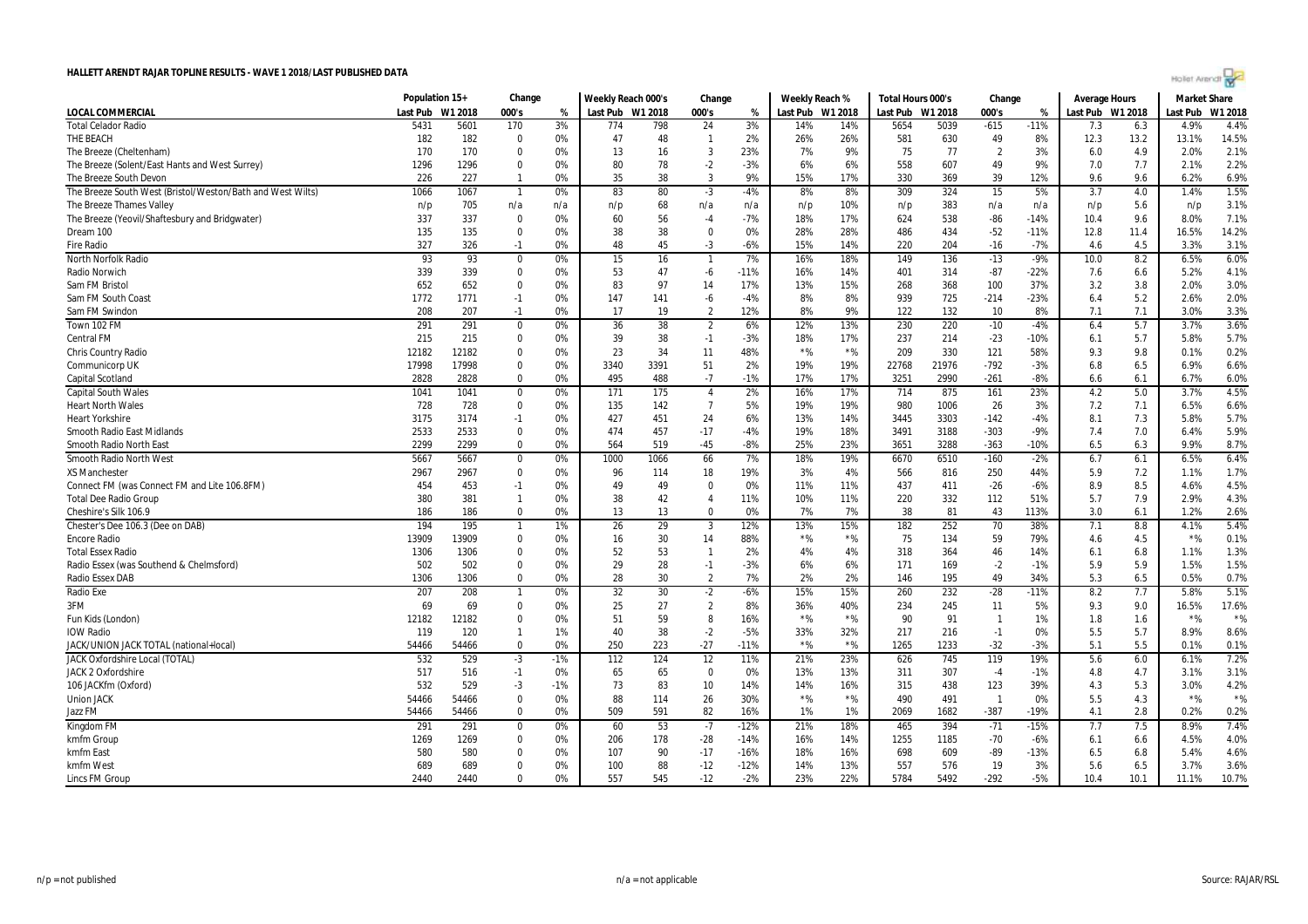| Hollet Arendt ro |  |  |  |
|------------------|--|--|--|
|                  |  |  |  |

|                                                            | Population 15+ |         | Change           |             | Weekly Reach 000's |           | Change         |           |              | Weekly Reach %   | Total Hours 000's |            | Change                |        | <b>Average Hours</b> |      | <b>Market Share</b> |               |
|------------------------------------------------------------|----------------|---------|------------------|-------------|--------------------|-----------|----------------|-----------|--------------|------------------|-------------------|------------|-----------------------|--------|----------------------|------|---------------------|---------------|
| <b>LOCAL COMMERCIAL</b>                                    | Last Pub       | W1 2018 | 000's            | %           | Last Pub W1 2018   |           | 000's          | %         |              | Last Pub W1 2018 | Last Pub          | W1 2018    | 000's                 | %      | Last Pub W1 2018     |      | Last Pub            | W1 2018       |
| <b>Total Celador Radio</b>                                 | 5431           | 5601    | 170              | 3%          | 774                | 798       | 24             | 3%        | 14%          | 14%              | 5654              | 5039       | $-615$                | $-11%$ | 7.3                  | 6.3  | 4.9%                | 4.4%          |
| THE BEACH                                                  | 182            | 182     | $\Omega$         | 0%          | 47                 | 48        | $\mathbf{1}$   | 2%        | 26%          | 26%              | 581               | 630        | 49                    | 8%     | 12.3                 | 13.2 | 13.1%               | 14.5%         |
| The Breeze (Cheltenham)                                    | 170            | 170     | $\Omega$         | 0%          | 13                 | 16        | 3              | 23%       | 7%           | 9%               | 75                | 77         | $\overline{2}$        | 3%     | 6.0                  | 4.9  | 2.0%                | 2.1%          |
| The Breeze (Solent/East Hants and West Surrey)             | 1296           | 1296    | $\Omega$         | 0%          | 80                 | 78        | $-2$           | $-3%$     | 6%           | 6%               | 558               | 607        | 49                    | 9%     | 7.0                  | 7.7  | 2.1%                | 2.2%          |
| The Breeze South Devon                                     | 226            | 227     | $\mathbf{1}$     | 0%          | 35                 | 38        | 3              | 9%        | 15%          | 17%              | 330               | 369        | 39                    | 12%    | 9.6                  | 9.6  | 6.2%                | 6.9%          |
| The Breeze South West (Bristol/Weston/Bath and West Wilts) | 1066           | 1067    |                  | 0%          | 83                 | 80        | $-3$           | $-4%$     | 8%           | 8%               | 309               | 324        | 15                    | 5%     | 3.7                  | 4.0  | 1.4%                | 1.5%          |
| The Breeze Thames Valley                                   | n/p            | 705     | n/a              | n/a         | n/p                | 68        | n/a            | n/a       | n/p          | 10%              | n/p               | 383        | n/a                   | n/a    | n/p                  | 5.6  | n/p                 | 3.1%          |
| The Breeze (Yeovil/Shaftesbury and Bridgwater)             | 337            | 337     | $\Omega$         | 0%          | 60                 | 56        | $-4$           | $-7%$     | 18%          | 17%              | 624               | 538        | $-86$                 | $-14%$ | 10.4                 | 9.6  | 8.0%                | 7.1%          |
| Dream 100                                                  | 135            | 135     | $\Omega$         | 0%          | 38                 | 38        | $\Omega$       | 0%        | 28%          | 28%              | 486               | 434        | $-52$                 | $-11%$ | 12.8                 | 11.4 | 16.5%               | 14.2%         |
| <b>Fire Radio</b>                                          | 327            | 326     | $-1$             | 0%          | 48                 | 45        | -3             | $-6%$     | 15%          | 14%              | 220               | 204        | $-16$                 | $-7%$  | 4.6                  | 4.5  | 3.3%                | 3.1%          |
| North Norfolk Radio                                        | 93             | 93      | $\Omega$         | 0%          | 15                 | 16        | $\mathbf{1}$   | 7%        | 16%          | 18%              | 149               | 136        | $-13$                 | $-9%$  | 10.0                 | 8.2  | 6.5%                | 6.0%          |
| Radio Norwich                                              | 339            | 339     | $\Omega$         | 0%          | 53                 | 47        | -6             | $-11%$    | 16%          | 14%              | 401               | 314        | $-87$                 | $-22%$ | 7.6                  | 6.6  | 5.2%                | 4.1%          |
| Sam FM Bristol                                             | 652            | 652     | $\Omega$         | 0%          | 83                 | 97        | 14             | 17%       | 13%          | 15%              | 268               | 368        | 100                   | 37%    | 3.2                  | 3.8  | 2.0%                | 3.0%          |
| Sam FM South Coast                                         | 1772           | 1771    | $-1$             | 0%          | 147                | 141       | -6             | $-4%$     | 8%           | 8%               | 939               | 725        | $-214$                | $-23%$ | 6.4                  | 5.2  | 2.6%                | 2.0%          |
| Sam FM Swindon                                             | 208            | 207     | $-1$             | 0%          | 17                 | 19        | $\overline{2}$ | 12%       | 8%           | 9%               | 122               | 132        | 10                    | 8%     | 7.1                  | 7.1  | 3.0%                | 3.3%          |
| Town 102 FM                                                | 291            | 291     | $\Omega$         | 0%          | 36                 | 38        | $\overline{2}$ | 6%        | 12%          | 13%              | 230               | 220        | $-10$                 | $-4%$  | 6.4                  | 5.7  | 3.7%                | 3.6%          |
| <b>Central FM</b>                                          | 215            | 215     | $\Omega$         | 0%          | 39                 | 38        | $-1$           | $-3%$     | 18%          | 17%              | 237               | 214        | $-23$                 | $-10%$ | 6.1                  | 5.7  | 5.8%                | 5.7%          |
| <b>Chris Country Radio</b>                                 | 12182          | 12182   | $\Omega$         | 0%          | 23                 | 34        | 11             | 48%       | $*$ %        | $*$ %            | 209               | 330        | 121                   | 58%    | 9.3                  | 9.8  | 0.1%                | 0.2%          |
| Communicorp UK                                             | 17998          | 17998   | $\Omega$         | 0%          | 3340               | 3391      | 51             | 2%        | 19%          | 19%              | 22768             | 21976      | $-792$                | $-3%$  | 6.8                  | 6.5  | 6.9%                | 6.6%          |
| Capital Scotland                                           | 2828           | 2828    | $\Omega$         | 0%          | 495                | 488       | $-7$           | $-1%$     | 17%          | 17%              | 3251              | 2990       | $-261$                | $-8%$  | 6.6                  | 6.1  | 6.7%                | 6.0%          |
| <b>Capital South Wales</b>                                 | 1041           | 1041    | $\mathbf 0$      | 0%          | 171                | 175       | $\overline{4}$ | 2%        | 16%          | 17%              | 714               | 875        | 161                   | 23%    | 4.2                  | 5.0  | 3.7%                | 4.5%          |
| <b>Heart North Wales</b>                                   | 728            | 728     | $\Omega$         | 0%          | 135                | 142       | $\overline{7}$ | 5%        | 19%          | 19%              | 980               | 1006       | 26                    | 3%     | 7.2                  | 7.1  | 6.5%                | 6.6%          |
| <b>Heart Yorkshire</b>                                     | 3175           | 3174    | -1               | 0%          | 427                | 451       | 24             | 6%        | 13%          | 14%              | 3445              | 3303       | $-142$                | $-4%$  | 8.1                  | 7.3  | 5.8%                | 5.7%          |
| Smooth Radio East Midlands                                 | 2533           | 2533    | $\mathbf 0$      | 0%          | 474                | 457       | $-17$          | -4%       | 19%          | 18%              | 3491              | 3188       | $-303$                | $-9%$  | 7.4                  | 7.0  | 6.4%                | 5.9%          |
| Smooth Radio North East                                    | 2299           | 2299    | $\Omega$         | 0%          | 564                | 519       | $-45$          | $-8%$     | 25%          | 23%              | 3651              | 3288       | $-363$                | $-10%$ | 6.5                  | 6.3  | 9.9%                | 8.7%          |
| <b>Smooth Radio North West</b>                             | 5667           | 5667    | $\Omega$         | 0%          | 1000               | 1066      | 66             | 7%        | 18%          | 19%              | 6670              | 6510       | $-160$                | $-2%$  | 6.7                  | 6.1  | 6.5%                | 6.4%          |
| <b>XS Manchester</b>                                       | 2967           | 2967    | $\Omega$         | 0%          | 96                 | 114       | 18             | 19%       | 3%           | 4%               | 566               | 816        | 250                   | 44%    | 5.9                  | 7.2  | 1.1%                | 1.7%          |
| Connect FM (was Connect FM and Lite 106.8FM)               | 454            | 453     | $-1$             | 0%          | 49                 | 49        | $\Omega$       | 0%        | 11%          | 11%              | 437               | 411        | $-26$                 | $-6%$  | 8.9                  | 8.5  | 4.6%                | 4.5%          |
| <b>Total Dee Radio Group</b>                               | 380            | 381     | $\mathbf{1}$     | 0%          | 38                 | 42        | $\overline{4}$ | 11%       | 10%          | 11%              | 220               | 332        | 112                   | 51%    | 5.7                  | 7.9  | 2.9%                | 4.3%          |
| Cheshire's Silk 106.9                                      | 186            | 186     | $\Omega$         | 0%          | 13                 | 13        | $\Omega$       | 0%        | 7%           | 7%               | 38                | 81         | 43                    | 113%   | 3.0                  | 6.1  | 1.2%                | 2.6%          |
| Chester's Dee 106.3 (Dee on DAB)                           | 194            | 195     |                  | 1%          | 26                 | 29        | 3              | 12%       | 13%          | 15%              | 182               | 252        | 70                    | 38%    | 7.1                  | 8.8  | 4.1%                | 5.4%          |
| <b>Encore Radio</b>                                        | 13909          | 13909   | $\mathbf 0$      | 0%          | 16                 | 30        | 14             | 88%       | $*$ %        | $*$ %            | 75                | 134        | 59                    | 79%    | 4.6                  | 4.5  | $*$ %               | 0.1%          |
| <b>Total Essex Radio</b>                                   | 1306           | 1306    | $\Omega$         | 0%          | 52                 | 53        | $\mathbf{1}$   | 2%        | 4%           | 4%               | 318               | 364        | 46                    | 14%    | 6.1                  | 6.8  | 1.1%                | 1.3%          |
| Radio Essex (was Southend & Chelmsford)                    | 502            | 502     | $\Omega$         | 0%          | 29                 | 28        | $-1$           | $-3%$     | 6%           | 6%               | 171               | 169        | $-2$                  | $-1%$  | 5.9                  | 5.9  | 1.5%                | 1.5%          |
| Radio Essex DAB                                            | 1306           | 1306    | $\mathbf 0$      | 0%          | 28                 | 30        | $\overline{2}$ | 7%        | 2%           | 2%               | 146               | 195        | 49                    | 34%    | 5.3                  | 6.5  | 0.5%                | 0.7%          |
| <b>Radio Exe</b>                                           | 207            | 208     | $\mathbf{1}$     | 0%          | 32                 | 30        | $-2$           | $-6%$     | 15%          | 15%              | 260               | 232        | $-28$                 | $-11%$ | 8.2                  | 7.7  | 5.8%                | 5.1%          |
| 3FM                                                        | 69             | 69      | $\Omega$         | 0%          | 25                 | 27        | $\overline{2}$ | 8%        | 36%          | 40%              | 234               | 245        | 11                    | 5%     | 9.3                  | 9.0  | 16.5%               | 17.6%         |
| Fun Kids (London)                                          | 12182          | 12182   | $\Omega$         | 0%          | 51                 | 59        | 8              | 16%       | $*$ %        | $*$ %            | 90                | 91         | $\overline{1}$        | 1%     | 1.8                  | 1.6  | $*$ %               | $*$ %         |
| <b>IOW Radio</b>                                           | 119            | 120     | $\mathbf{1}$     | 1%          | 40                 | 38        | $-2$           | $-5%$     | 33%          | 32%              | 217               | 216        | $-1$                  | 0%     | 5.5                  | 5.7  | 8.9%                | 8.6%          |
| JACK/UNION JACK TOTAL (national+local)                     | 54466          | 54466   | $\mathbf 0$      | 0%          | 250                | 223       | $-27$          | $-11%$    | $*$ %        | $*$ %            | 1265              | 1233       | $-32$                 | $-3%$  | 5.1                  | 5.5  | 0.1%                | 0.1%          |
|                                                            |                |         |                  |             |                    |           |                |           |              |                  |                   |            |                       |        |                      |      |                     |               |
| JACK Oxfordshire Local (TOTAL)                             | 532<br>517     | 529     | $-3$             | $-1%$<br>0% | 112                | 124<br>65 | 12<br>$\Omega$ | 11%<br>0% | 21%          | 23%              | 626               | 745<br>307 | 119                   | 19%    | 5.6                  | 6.0  | 6.1%<br>3.1%        | 7.2%          |
| <b>JACK 2 Oxfordshire</b>                                  |                | 516     | $-1$             |             | 65                 |           |                |           | 13%          | 13%              | 311               |            | $-4$                  | $-1%$  | 4.8                  | 4.7  |                     | 3.1%          |
| 106 JACKfm (Oxford)                                        | 532            | 529     | $-3$<br>$\Omega$ | $-1%$       | 73<br>88           | 83        | 10             | 14%       | 14%<br>$*$ % | 16%<br>$*$ %     | 315               | 438        | 123<br>$\overline{1}$ | 39%    | 4.3                  | 5.3  | 3.0%<br>$*$ %       | 4.2%<br>$*$ % |
| <b>Union JACK</b>                                          | 54466          | 54466   |                  | 0%          |                    | 114       | 26             | 30%       |              |                  | 490               | 491        |                       | 0%     | 5.5                  | 4.3  |                     |               |
| Jazz FM                                                    | 54466          | 54466   | $\Omega$         | 0%          | 509                | 591       | 82             | 16%       | 1%           | 1%               | 2069              | 1682       | $-387$                | $-19%$ | 4.1                  | 2.8  | 0.2%                | 0.2%          |
| Kingdom FM                                                 | 291            | 291     | $\bf{0}$         | 0%          | 60                 | 53        | $-7$           | $-12%$    | 21%          | 18%              | 465               | 394        | $-71$                 | $-15%$ | 7.7                  | 7.5  | 8.9%                | 7.4%          |
| kmfm Group                                                 | 1269           | 1269    | $\Omega$         | 0%          | 206                | 178       | $-28$          | $-14%$    | 16%          | 14%              | 1255              | 1185       | $-70$                 | $-6%$  | 6.1                  | 6.6  | 4.5%                | 4.0%          |
| kmfm East                                                  | 580            | 580     | $\Omega$         | 0%          | 107                | 90        | $-17$          | $-16%$    | 18%          | 16%              | 698               | 609        | -89                   | $-13%$ | 6.5                  | 6.8  | 5.4%                | 4.6%          |
| kmfm West                                                  | 689            | 689     | $\mathbf 0$      | 0%          | 100                | 88        | $-12$          | $-12%$    | 14%          | 13%              | 557               | 576        | 19                    | 3%     | 5.6                  | 6.5  | 3.7%                | 3.6%          |
| Lincs FM Group                                             | 2440           | 2440    | $\Omega$         | 0%          | 557                | 545       | $-12$          | $-2%$     | 23%          | 22%              | 5784              | 5492       | $-292$                | $-5%$  | 10.4                 | 10.1 | 11.1%               | 10.7%         |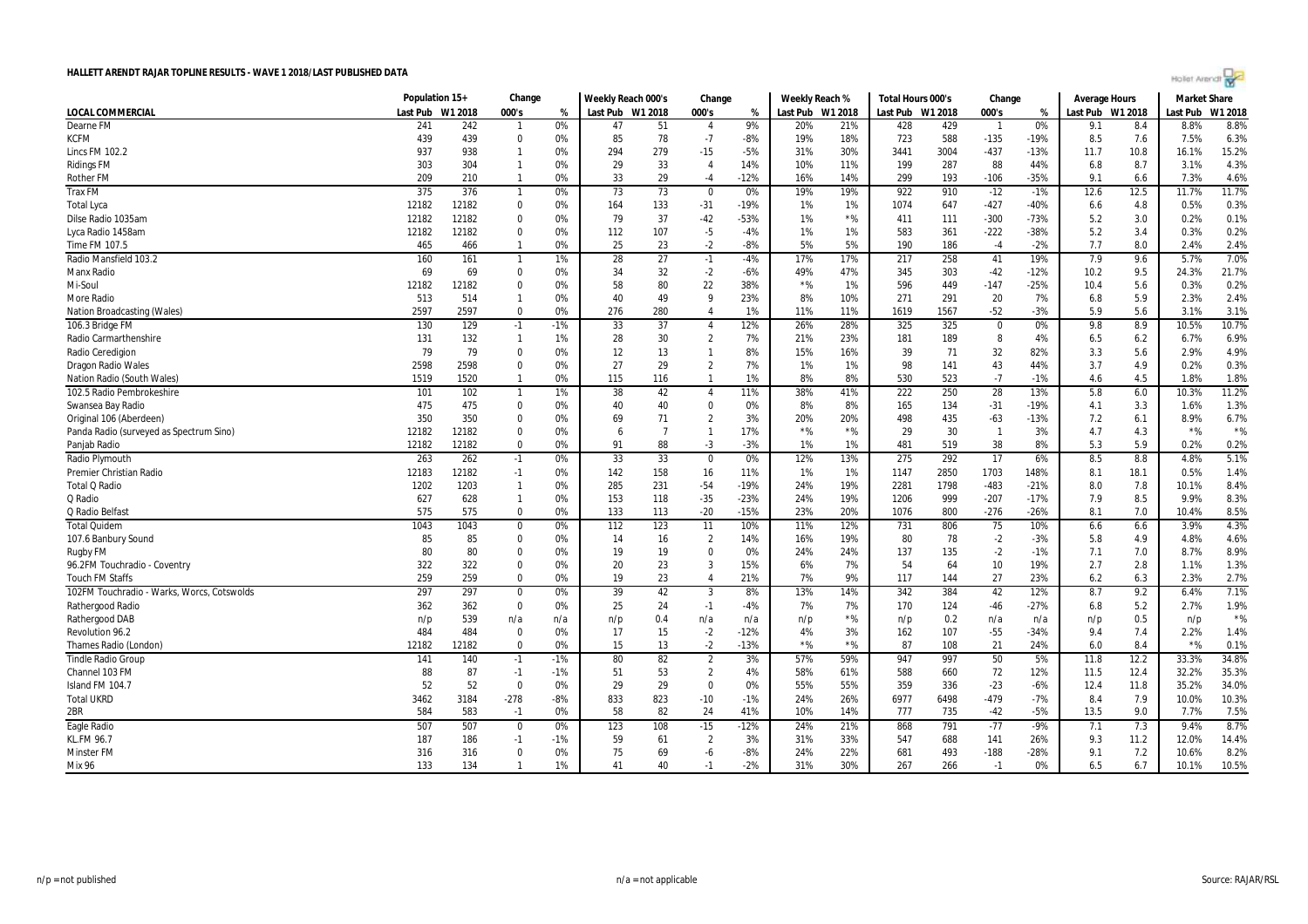

|                                            | Population 15+ |         | Change         |       | Weekly Reach 000's |                | Change                  |        | Weekly Reach % |                  | Total Hours 000's |      | Change         |        | Average Hours    |      | Market Share |         |
|--------------------------------------------|----------------|---------|----------------|-------|--------------------|----------------|-------------------------|--------|----------------|------------------|-------------------|------|----------------|--------|------------------|------|--------------|---------|
| <b>LOCAL COMMERCIAL</b>                    | Last Pub       | W1 2018 | 000's          | %     | Last Pub W1 2018   |                | 000's                   | %      |                | Last Pub W1 2018 | Last Pub W1 2018  |      | 000's          | %      | Last Pub W1 2018 |      | Last Pub     | W1 2018 |
| Dearne FM                                  | 241            | 242     | $\overline{1}$ | 0%    | 47                 | 51             | $\overline{4}$          | 9%     | 20%            | 21%              | 428               | 429  |                | 0%     | 9.1              | 8.4  | 8.8%         | 8.8%    |
| KCFM                                       | 439            | 439     | $\mathbf{0}$   | 0%    | 85                 | 78             | $-7$                    | -8%    | 19%            | 18%              | 723               | 588  | $-135$         | $-19%$ | 8.5              | 7.6  | 7.5%         | 6.3%    |
| Lincs FM 102.2                             | 937            | 938     | $\mathbf{1}$   | 0%    | 294                | 279            | $-15$                   | $-5%$  | 31%            | 30%              | 3441              | 3004 | $-437$         | $-13%$ | 11.7             | 10.8 | 16.1%        | 15.2%   |
| <b>Ridings FM</b>                          | 303            | 304     | $\overline{1}$ | 0%    | 29                 | 33             | $\overline{4}$          | 14%    | 10%            | 11%              | 199               | 287  | 88             | 44%    | 6.8              | 8.7  | 3.1%         | 4.3%    |
| <b>Rother FM</b>                           | 209            | 210     | $\overline{1}$ | 0%    | 33                 | 29             | $-4$                    | $-12%$ | 16%            | 14%              | 299               | 193  | $-106$         | $-35%$ | 9.1              | 6.6  | 7.3%         | 4.6%    |
| <b>Trax FM</b>                             | 375            | 376     | $\overline{1}$ | $0\%$ | 73                 | 73             | $\overline{\mathbf{0}}$ | 0%     | 19%            | 19%              | 922               | 910  | $-12$          | $-1%$  | 12.6             | 12.5 | 11.7%        | 11.7%   |
| <b>Total Lyca</b>                          | 12182          | 12182   | $\mathbf 0$    | 0%    | 164                | 133            | $-31$                   | $-19%$ | 1%             | 1%               | 1074              | 647  | $-427$         | -40%   | 6.6              | 4.8  | 0.5%         | 0.3%    |
| Dilse Radio 1035am                         | 12182          | 12182   | $\mathbf 0$    | 0%    | 79                 | 37             | $-42$                   | $-53%$ | 1%             | $*$ %            | 411               | 111  | $-300$         | $-73%$ | 5.2              | 3.0  | 0.2%         | 0.1%    |
| Lyca Radio 1458am                          | 12182          | 12182   | $\mathbf 0$    | 0%    | 112                | 107            | $-5$                    | $-4%$  | 1%             | 1%               | 583               | 361  | $-222$         | -38%   | 5.2              | 3.4  | 0.3%         | 0.2%    |
| Time FM 107.5                              | 465            | 466     | $\overline{1}$ | 0%    | 25                 | 23             | $-2$                    | $-8%$  | 5%             | 5%               | 190               | 186  | $-4$           | $-2%$  | 7.7              | 8.0  | 2.4%         | 2.4%    |
| Radio Mansfield 103.2                      | 160            | 161     | $\overline{1}$ | 1%    | 28                 | 27             | $-1$                    | $-4%$  | 17%            | 17%              | 217               | 258  | 41             | 19%    | 7.9              | 9.6  | 5.7%         | 7.0%    |
| Manx Radio                                 | 69             | 69      | $\mathbf 0$    | 0%    | 34                 | 32             | $-2$                    | -6%    | 49%            | 47%              | 345               | 303  | $-42$          | $-12%$ | 10.2             | 9.5  | 24.3%        | 21.7%   |
| Mi-Soul                                    | 12182          | 12182   | $\mathbf 0$    | 0%    | 58                 | 80             | 22                      | 38%    | $*$ %          | 1%               | 596               | 449  | $-147$         | $-25%$ | 10.4             | 5.6  | 0.3%         | 0.2%    |
| <b>More Radio</b>                          | 513            | 514     | $\overline{1}$ | 0%    | 40                 | 49             | 9                       | 23%    | 8%             | 10%              | 271               | 291  | 20             | 7%     | 6.8              | 5.9  | 2.3%         | 2.4%    |
| <b>Nation Broadcasting (Wales)</b>         | 2597           | 2597    | $\mathbf{0}$   | 0%    | 276                | 280            | $\boldsymbol{\Lambda}$  | 1%     | 11%            | 11%              | 1619              | 1567 | $-52$          | $-3%$  | 5.9              | 5.6  | 3.1%         | 3.1%    |
| 106.3 Bridge FM                            | 130            | 129     | $-1$           | $-1%$ | 33                 | 37             | $\overline{4}$          | 12%    | 26%            | 28%              | 325               | 325  | $\mathbf 0$    | 0%     | 9.8              | 8.9  | 10.5%        | 10.7%   |
| Radio Carmarthenshire                      | 131            | 132     | $\overline{1}$ | 1%    | 28                 | 30             | $\overline{2}$          | 7%     | 21%            | 23%              | 181               | 189  | 8              | 4%     | 6.5              | 6.2  | 6.7%         | 6.9%    |
| Radio Ceredigion                           | 79             | 79      | $\mathbf 0$    | 0%    | 12                 | 13             | $\mathbf{1}$            | 8%     | 15%            | 16%              | 39                | 71   | 32             | 82%    | 3.3              | 5.6  | 2.9%         | 4.9%    |
| <b>Dragon Radio Wales</b>                  | 2598           | 2598    | $\mathbf 0$    | 0%    | 27                 | 29             | $\overline{2}$          | 7%     | 1%             | 1%               | 98                | 141  | 43             | 44%    | 3.7              | 4.9  | 0.2%         | 0.3%    |
| <b>Nation Radio (South Wales)</b>          | 1519           | 1520    | $\overline{1}$ | 0%    | 115                | 116            | $\overline{1}$          | 1%     | 8%             | 8%               | 530               | 523  | $-7$           | $-1%$  | 4.6              | 4.5  | 1.8%         | 1.8%    |
| 102.5 Radio Pembrokeshire                  | 101            | 102     | $\overline{1}$ | 1%    | 38                 | 42             | $\overline{4}$          | 11%    | 38%            | 41%              | 222               | 250  | 28             | 13%    | 5.8              | 6.0  | 10.3%        | 11.2%   |
| Swansea Bay Radio                          | 475            | 475     | $\mathbf 0$    | 0%    | 40                 | 40             | $\mathbf 0$             | 0%     | 8%             | 8%               | 165               | 134  | $-31$          | $-19%$ | 4.1              | 3.3  | 1.6%         | 1.3%    |
| Original 106 (Aberdeen)                    | 350            | 350     | $\mathbf 0$    | 0%    | 69                 | 71             | $\overline{2}$          | 3%     | 20%            | 20%              | 498               | 435  | $-63$          | $-13%$ | 7.2              | 6.1  | 8.9%         | 6.7%    |
|                                            |                | 12182   | $\mathbf 0$    | 0%    |                    | $\overline{7}$ | $\overline{1}$          | 17%    | ${}^{\star}\%$ | $*$ %            | 29                | 30   | $\overline{1}$ | 3%     | 4.7              | 4.3  | $*$ %        | $*$ %   |
| Panda Radio (surveyed as Spectrum Sino)    | 12182          |         | $\mathbf 0$    | 0%    | 6<br>91            |                |                         |        |                | 1%               | 481               |      |                |        | 5.3              | 5.9  |              |         |
| Panjab Radio                               | 12182          | 12182   |                |       |                    | 88             | $-3$                    | $-3%$  | 1%             |                  |                   | 519  | 38             | 8%     |                  |      | 0.2%         | 0.2%    |
| Radio Plymouth                             | 263            | 262     | $-1$           | 0%    | 33                 | 33             | $\mathbf 0$             | 0%     | 12%            | 13%              | 275               | 292  | 17             | 6%     | 8.5              | 8.8  | 4.8%         | 5.1%    |
| Premier Christian Radio                    | 12183          | 12182   | $-1$           | 0%    | 142                | 158            | 16                      | 11%    | 1%             | 1%               | 1147              | 2850 | 1703           | 148%   | 8.1              | 18.1 | 0.5%         | 1.4%    |
| Total Q Radio                              | 1202           | 1203    | $\overline{1}$ | 0%    | 285                | 231            | $-54$                   | $-19%$ | 24%            | 19%              | 2281              | 1798 | $-483$         | $-21%$ | 8.0              | 7.8  | 10.1%        | 8.4%    |
| Q Radio                                    | 627            | 628     | $\overline{1}$ | 0%    | 153                | 118            | $-35$                   | $-23%$ | 24%            | 19%              | 1206              | 999  | $-207$         | $-17%$ | 7.9              | 8.5  | 9.9%         | 8.3%    |
| Q Radio Belfast                            | 575            | 575     | $\mathbf{0}$   | 0%    | 133                | 113            | $-20$                   | $-15%$ | 23%            | 20%              | 1076              | 800  | $-276$         | $-26%$ | 8.1              | 7.0  | 10.4%        | 8.5%    |
| <b>Total Quidem</b>                        | 1043           | 1043    | $\mathbf 0$    | 0%    | 112                | 123            | 11                      | 10%    | 11%            | 12%              | 731               | 806  | 75             | 10%    | 6.6              | 6.6  | 3.9%         | 4.3%    |
| 107.6 Banbury Sound                        | 85             | 85      | $\mathbf 0$    | 0%    | 14                 | 16             | $\overline{2}$          | 14%    | 16%            | 19%              | 80                | 78   | $-2$           | $-3%$  | 5.8              | 4.9  | 4.8%         | 4.6%    |
| <b>Rugby FM</b>                            | 80             | 80      | $\mathbf{0}$   | 0%    | 19                 | 19             | 0                       | 0%     | 24%            | 24%              | 137               | 135  | $-2$           | $-1%$  | 7.1              | 7.0  | 8.7%         | 8.9%    |
| 96.2FM Touchradio - Coventry               | 322            | 322     | $\mathbf 0$    | 0%    | 20                 | 23             | $\overline{3}$          | 15%    | 6%             | 7%               | 54                | 64   | 10             | 19%    | 2.7              | 2.8  | 1.1%         | 1.3%    |
| <b>Touch FM Staffs</b>                     | 259            | 259     | $\mathbf 0$    | 0%    | 19                 | 23             | $\overline{4}$          | 21%    | 7%             | 9%               | 117               | 144  | 27             | 23%    | 6.2              | 6.3  | 2.3%         | 2.7%    |
| 102FM Touchradio - Warks, Worcs, Cotswolds | 297            | 297     | $\mathbf 0$    | 0%    | 39                 | 42             | $\overline{3}$          | 8%     | 13%            | 14%              | 342               | 384  | 42             | 12%    | 8.7              | 9.2  | 6.4%         | 7.1%    |
| Rathergood Radio                           | 362            | 362     | $\mathbf 0$    | 0%    | 25                 | 24             | $-1$                    | $-4%$  | 7%             | 7%               | 170               | 124  | $-46$          | $-27%$ | 6.8              | 5.2  | 2.7%         | 1.9%    |
| Rathergood DAB                             | n/p            | 539     | n/a            | n/a   | n/p                | 0.4            | n/a                     | n/a    | n/p            | $*$ %            | n/p               | 0.2  | n/a            | n/a    | n/p              | 0.5  | n/p          | $*$ %   |
| Revolution 96.2                            | 484            | 484     | $\mathbf 0$    | 0%    | 17                 | 15             | $-2$                    | $-12%$ | 4%             | 3%               | 162               | 107  | $-55$          | $-34%$ | 9.4              | 7.4  | 2.2%         | 1.4%    |
| Thames Radio (London)                      | 12182          | 12182   | $\mathbf 0$    | 0%    | 15                 | 13             | $-2$                    | $-13%$ | $*$ %          | $*$ %            | 87                | 108  | 21             | 24%    | 6.0              | 8.4  | $*$ %        | 0.1%    |
| <b>Tindle Radio Group</b>                  | 141            | 140     | $-1$           | $-1%$ | 80                 | 82             | $\overline{2}$          | 3%     | 57%            | 59%              | 947               | 997  | 50             | 5%     | 11.8             | 12.2 | 33.3%        | 34.8%   |
| Channel 103 FM                             | 88             | 87      | $-1$           | $-1%$ | 51                 | 53             | $\overline{2}$          | 4%     | 58%            | 61%              | 588               | 660  | 72             | 12%    | 11.5             | 12.4 | 32.2%        | 35.3%   |
| Island FM 104.7                            | 52             | 52      | $\mathbf 0$    | 0%    | 29                 | 29             | $\mathbf 0$             | 0%     | 55%            | 55%              | 359               | 336  | $-23$          | $-6%$  | 12.4             | 11.8 | 35.2%        | 34.0%   |
| <b>Total UKRD</b>                          | 3462           | 3184    | $-278$         | $-8%$ | 833                | 823            | $-10$                   | $-1%$  | 24%            | 26%              | 6977              | 6498 | $-479$         | $-7%$  | 8.4              | 7.9  | 10.0%        | 10.3%   |
| 2BR                                        | 584            | 583     | $-1$           | 0%    | 58                 | 82             | 24                      | 41%    | 10%            | 14%              | 777               | 735  | $-42$          | $-5%$  | 13.5             | 9.0  | 7.7%         | 7.5%    |
| Eagle Radio                                | 507            | 507     | $\overline{0}$ | 0%    | 123                | 108            | $-15$                   | $-12%$ | 24%            | 21%              | 868               | 791  | $-77$          | $-9%$  | 7.1              | 7.3  | 9.4%         | 8.7%    |
| KL.FM 96.7                                 | 187            | 186     | $-1$           | $-1%$ | 59                 | 61             | $\overline{2}$          | 3%     | 31%            | 33%              | 547               | 688  | 141            | 26%    | 9.3              | 11.2 | 12.0%        | 14.4%   |
| Minster FM                                 | 316            | 316     | $\mathbf 0$    | 0%    | 75                 | 69             | -6                      | $-8%$  | 24%            | 22%              | 681               | 493  | $-188$         | $-28%$ | 9.1              | 7.2  | 10.6%        | 8.2%    |
| Mix 96                                     | 133            | 134     | $\overline{1}$ | 1%    | 41                 | 40             | $-1$                    | $-2%$  | 31%            | 30%              | 267               | 266  | $-1$           | 0%     | 6.5              | 6.7  | 10.1%        | 10.5%   |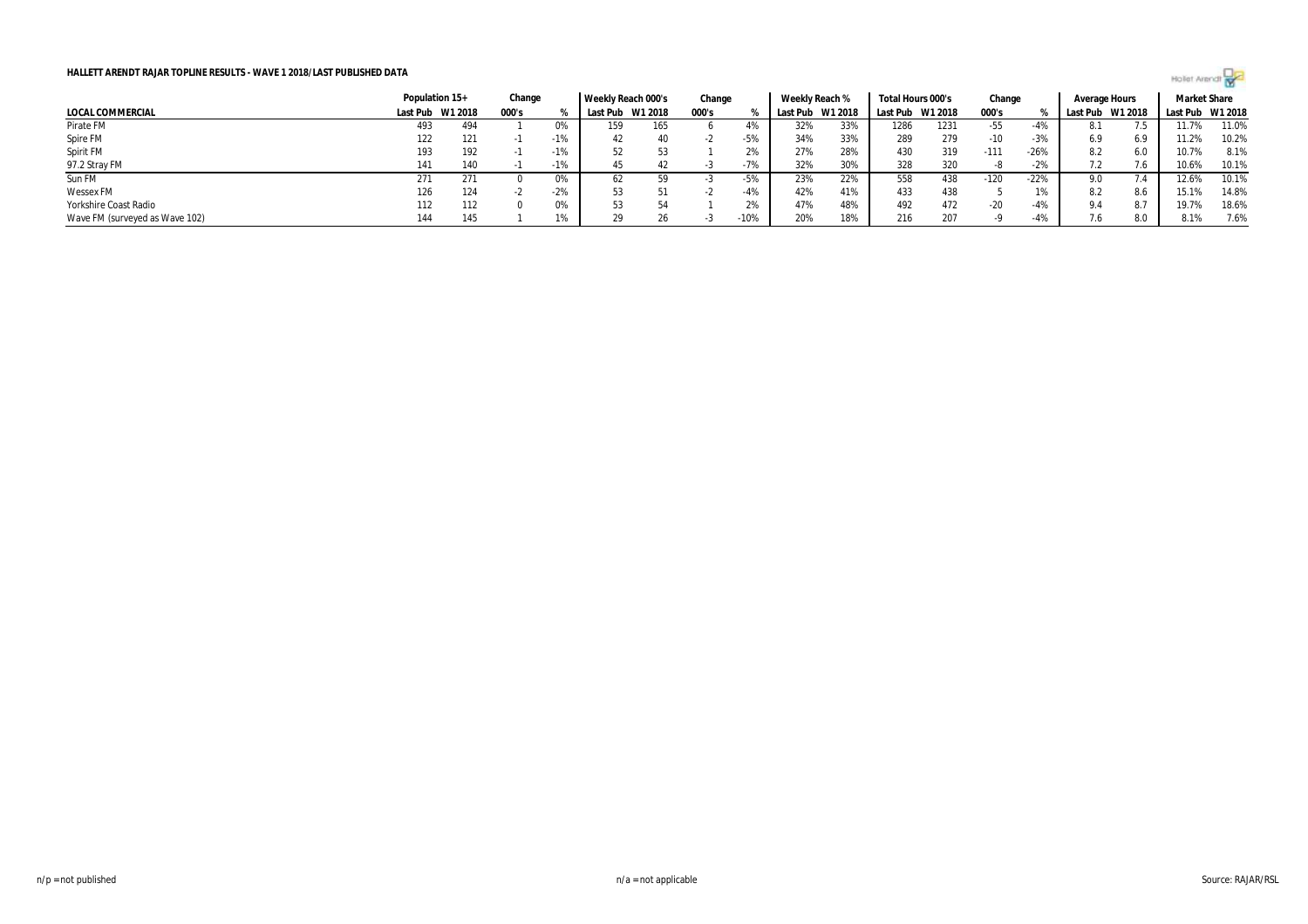

|                                | Population 15+ |         | Change |       | Weekly Reach 000's |         | Change |        | Weekly Reach % |         | Total Hours 000's |      | Change |        | Average Hours |         | <b>Market Share</b> |       |
|--------------------------------|----------------|---------|--------|-------|--------------------|---------|--------|--------|----------------|---------|-------------------|------|--------|--------|---------------|---------|---------------------|-------|
| LOCAL COMMERCIAL               | Last Pub       | W1 2018 | 000's  |       | Last Pub           | W1 2018 | 000's  |        | Last Pub       | W1 2018 | Last Pub W1 2018  |      | 000's  |        | Last Pub      | W1 2018 | Last Pub W1 2018    |       |
| Pirate FM                      | 493            | 494     |        | 0%    | 159                | 165     |        |        | 32%            | 33%     | 1286              | 1231 | -55    | -4%    | 8.1           |         | 11.7%               | 11.0% |
| Spire FM                       | 122            | 121     |        | $-1%$ | 42                 | 40      |        | $-5%$  | 34%            | 33%     | 289               | 279  | $-10$  | $-3%$  | 6.9           | 6.9     | 11.2%               | 10.2% |
| Spirit FM                      | 193            | 192     |        | $-1%$ | 52                 |         |        | 2%     | 27%            | 28%     | 430               | 319  | $-111$ | $-26%$ | 8.2           | 6.0     | 10.7%               | 8.1%  |
| 97.2 Stray FM                  | 141            | 140     |        | $-1%$ | 45                 | 42      |        | $-7%$  | 32%            | 30%     | 328               | 320  |        | $-2%$  |               |         | 10.6%               | 10.1% |
| Sun FM                         | 271            | 271     |        | 0%    | 62                 | 59      |        | $-5%$  | 23%            | 22%     | 558               | 438  | $-120$ | $-22%$ | 9.0           |         | 12.6%               | 10.1% |
| <b>Wessex FM</b>               | 126            | 124     |        | $-2%$ |                    |         |        | $-4%$  | 42%            | 41%     | 433               | 438  |        | 1%     | 8.2           | 8.6     | 15.1%               | 14.8% |
| Yorkshire Coast Radio          | 112            | 112     |        | 0%    | 53                 |         |        | 20/    | 47%            | 48%     | 492               | 472  | $-20$  | $-4%$  | 9.4           | 8.7     | 19.7%               | 18.6% |
| Wave FM (surveyed as Wave 102) | 144            | 145     |        | 1%    |                    | 26      |        | $-10%$ | 20%            | 18%     | 216               | 207  |        | $-4%$  |               | 8.0     | 8.1%                | 7.6%  |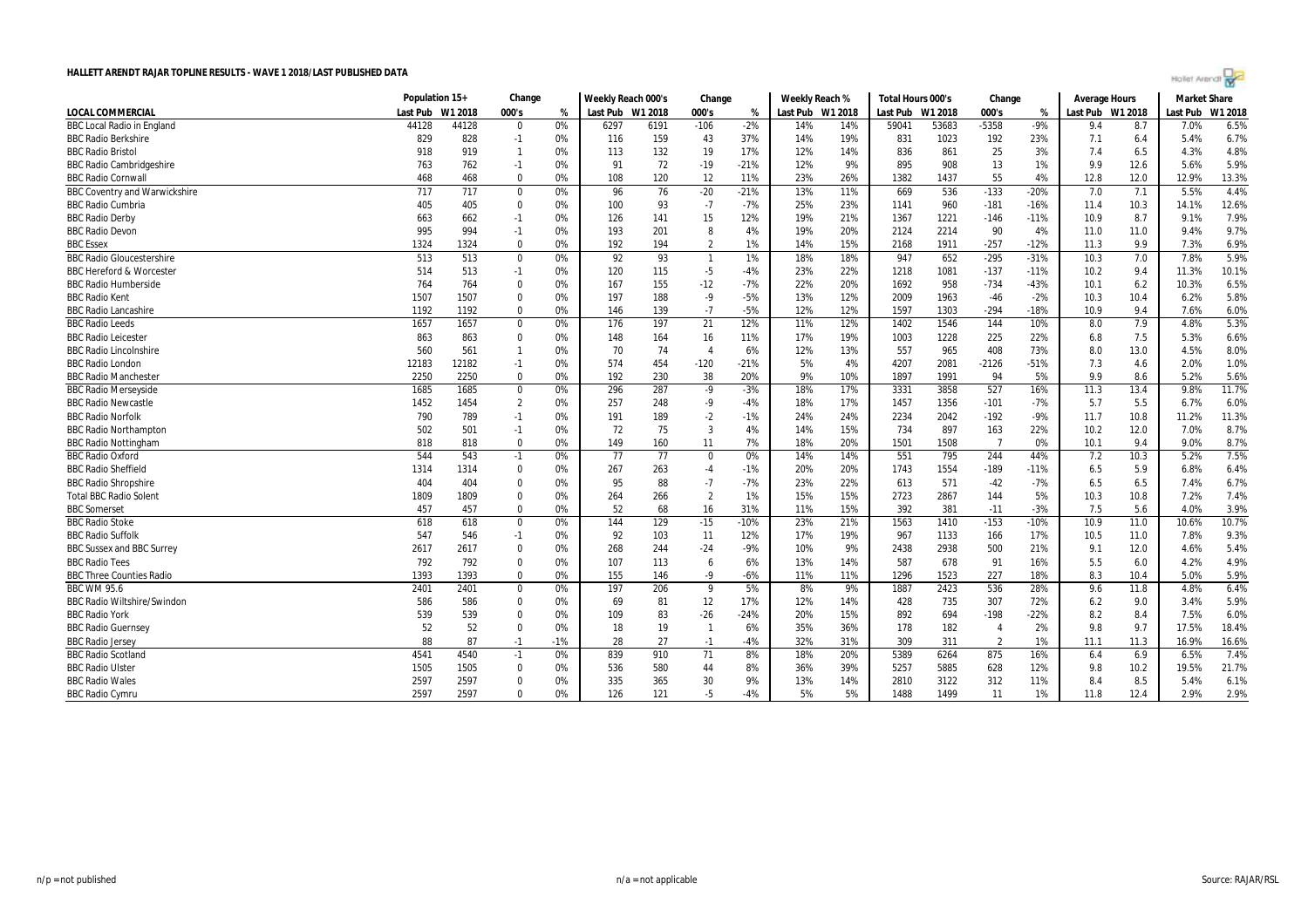| Hollet Arendt |  |  |  |
|---------------|--|--|--|
|               |  |  |  |

|                                      | Population 15+ |         | Change         |       | Weekly Reach 000's |      | Change         |        | Weekly Reach %   |     | Total Hours 000's |         | Change         |        | Average Hours    |      | <b>Market Share</b> |         |
|--------------------------------------|----------------|---------|----------------|-------|--------------------|------|----------------|--------|------------------|-----|-------------------|---------|----------------|--------|------------------|------|---------------------|---------|
| <b>LOCAL COMMERCIAL</b>              | Last Pub       | W1 2018 | 000's          | %     | Last Pub W1 2018   |      | 000's          | %      | Last Pub W1 2018 |     | Last Pub          | W1 2018 | 000's          | %      | Last Pub W1 2018 |      | Last Pub            | W1 2018 |
| <b>BBC Local Radio in England</b>    | 44128          | 44128   | $\Omega$       | 0%    | 6297               | 6191 | $-106$         | $-2%$  | 14%              | 14% | 59041             | 53683   | $-5358$        | $-9%$  | 9.4              | 8.7  | 7.0%                | 6.5%    |
| <b>BBC Radio Berkshire</b>           | 829            | 828     | $-1$           | 0%    | 116                | 159  | 43             | 37%    | 14%              | 19% | 831               | 1023    | 192            | 23%    | 7.1              | 6.4  | 5.4%                | 6.7%    |
| <b>BBC Radio Bristol</b>             | 918            | 919     | $\mathbf{1}$   | 0%    | 113                | 132  | 19             | 17%    | 12%              | 14% | 836               | 861     | 25             | 3%     | 7.4              | 6.5  | 4.3%                | 4.8%    |
| <b>BBC Radio Cambridgeshire</b>      | 763            | 762     | $-1$           | 0%    | 91                 | 72   | $-19$          | $-21%$ | 12%              | 9%  | 895               | 908     | 13             | 1%     | 9.9              | 12.6 | 5.6%                | 5.9%    |
| <b>BBC Radio Cornwal</b>             | 468            | 468     | $\Omega$       | 0%    | 108                | 120  | 12             | 11%    | 23%              | 26% | 1382              | 1437    | 55             | 4%     | 12.8             | 12.0 | 12.9%               | 13.3%   |
| <b>BBC Coventry and Warwickshire</b> | 717            | 717     | $\mathbf 0$    | 0%    | 96                 | 76   | $-20$          | $-21%$ | 13%              | 11% | 669               | 536     | $-133$         | $-20%$ | 7.0              | 7.1  | 5.5%                | 4.4%    |
| <b>BBC Radio Cumbria</b>             | 405            | 405     | $\mathbf 0$    | 0%    | 100                | 93   | $-7$           | $-7%$  | 25%              | 23% | 1141              | 960     | $-181$         | $-16%$ | 11.4             | 10.3 | 14.1%               | 12.6%   |
| <b>BBC Radio Derby</b>               | 663            | 662     | $-1$           | 0%    | 126                | 141  | 15             | 12%    | 19%              | 21% | 1367              | 1221    | $-146$         | $-11%$ | 10.9             | 8.7  | 9.1%                | 7.9%    |
| <b>BBC Radio Devon</b>               | 995            | 994     | $-1$           | 0%    | 193                | 201  | 8              | 4%     | 19%              | 20% | 2124              | 2214    | 90             | 4%     | 11.0             | 11.0 | 9.4%                | 9.7%    |
| <b>BBC</b> Essex                     | 1324           | 1324    | $\Omega$       | 0%    | 192                | 194  | $\overline{2}$ | 1%     | 14%              | 15% | 2168              | 1911    | $-257$         | $-12%$ | 11.3             | 9.9  | 7.3%                | 6.9%    |
| <b>BBC Radio Gloucestershire</b>     | 513            | 513     | $\mathbf 0$    | 0%    | 92                 | 93   | $\overline{1}$ | 1%     | 18%              | 18% | 947               | 652     | $-295$         | $-31%$ | 10.3             | 7.0  | 7.8%                | 5.9%    |
| <b>BBC Hereford &amp; Worcester</b>  | 514            | 513     | $-1$           | 0%    | 120                | 115  | $-5$           | -4%    | 23%              | 22% | 1218              | 1081    | $-137$         | $-11%$ | 10.2             | 9.4  | 11.3%               | 10.1%   |
| <b>BBC Radio Humberside</b>          | 764            | 764     | $\Omega$       | 0%    | 167                | 155  | $-12$          | $-7%$  | 22%              | 20% | 1692              | 958     | $-734$         | $-43%$ | 10.1             | 6.2  | 10.3%               | 6.5%    |
| <b>BBC Radio Kent</b>                | 1507           | 1507    | $\Omega$       | 0%    | 197                | 188  | $-9$           | $-5%$  | 13%              | 12% | 2009              | 1963    | $-46$          | $-2%$  | 10.3             | 10.4 | 6.2%                | 5.8%    |
| <b>BBC Radio Lancashire</b>          | 1192           | 1192    | $\Omega$       | 0%    | 146                | 139  | $-7$           | $-5%$  | 12%              | 12% | 1597              | 1303    | $-294$         | $-18%$ | 10.9             | 9.4  | 7.6%                | 6.0%    |
| <b>BBC Radio Leeds</b>               | 1657           | 1657    | $\bf{0}$       | 0%    | 176                | 197  | 21             | 12%    | 11%              | 12% | 1402              | 1546    | 144            | 10%    | 8.0              | 7.9  | 4.8%                | 5.3%    |
| <b>BBC Radio Leicester</b>           | 863            | 863     | $\mathbf 0$    | 0%    | 148                | 164  | 16             | 11%    | 17%              | 19% | 1003              | 1228    | 225            | 22%    | 6.8              | 7.5  | 5.3%                | 6.6%    |
| <b>BBC Radio Lincolnshire</b>        | 560            | 561     | $\mathbf{1}$   | 0%    | 70                 | 74   | $\overline{4}$ | 6%     | 12%              | 13% | 557               | 965     | 408            | 73%    | 8.0              | 13.0 | 4.5%                | 8.0%    |
| <b>BBC Radio London</b>              | 12183          | 12182   | $-1$           | 0%    | 574                | 454  | $-120$         | $-21%$ | 5%               | 4%  | 4207              | 2081    | $-2126$        | $-51%$ | 7.3              | 4.6  | 2.0%                | 1.0%    |
| <b>BBC Radio Manchester</b>          | 2250           | 2250    | $\Omega$       | 0%    | 192                | 230  | 38             | 20%    | 9%               | 10% | 1897              | 1991    | 94             | 5%     | 9.9              | 8.6  | 5.2%                | 5.6%    |
| <b>BBC Radio Merseyside</b>          | 1685           | 1685    | $\bf{0}$       | 0%    | 296                | 287  | $-9$           | $-3%$  | 18%              | 17% | 3331              | 3858    | 527            | 16%    | 11.3             | 13.4 | 9.8%                | 11.7%   |
| <b>BBC Radio Newcastle</b>           | 1452           | 1454    | $\overline{2}$ | 0%    | 257                | 248  | $-9$           | $-4%$  | 18%              | 17% | 1457              | 1356    | $-101$         | $-7%$  | 5.7              | 5.5  | 6.7%                | 6.0%    |
| <b>BBC Radio Norfolk</b>             | 790            | 789     | $-1$           | 0%    | 191                | 189  | $-2$           | $-1%$  | 24%              | 24% | 2234              | 2042    | $-192$         | $-9%$  | 11.7             | 10.8 | 11.2%               | 11.3%   |
| <b>BBC Radio Northampton</b>         | 502            | 501     | $-1$           | 0%    | 72                 | 75   | $\overline{3}$ | 4%     | 14%              | 15% | 734               | 897     | 163            | 22%    | 10.2             | 12.0 | 7.0%                | 8.7%    |
| <b>BBC Radio Nottingham</b>          | 818            | 818     | $\Omega$       | 0%    | 149                | 160  | 11             | 7%     | 18%              | 20% | 1501              | 1508    | $\overline{7}$ | 0%     | 10.1             | 9.4  | 9.0%                | 8.7%    |
| <b>BBC Radio Oxford</b>              | 544            | 543     | $-1$           | 0%    | 77                 | 77   | $\mathbf 0$    | 0%     | 14%              | 14% | 551               | 795     | 244            | 44%    | 7.2              | 10.3 | 5.2%                | 7.5%    |
| <b>BBC Radio Sheffield</b>           | 1314           | 1314    | $\Omega$       | 0%    | 267                | 263  | $-4$           | $-1%$  | 20%              | 20% | 1743              | 1554    | $-189$         | $-11%$ | 6.5              | 5.9  | 6.8%                | 6.4%    |
| <b>BBC Radio Shropshire</b>          | 404            | 404     | $\Omega$       | 0%    | 95                 | 88   | $-7$           | $-7%$  | 23%              | 22% | 613               | 571     | $-42$          | $-7%$  | 6.5              | 6.5  | 7.4%                | 6.7%    |
| <b>Total BBC Radio Solent</b>        | 1809           | 1809    | $\Omega$       | 0%    | 264                | 266  | $\overline{2}$ | 1%     | 15%              | 15% | 2723              | 2867    | 144            | 5%     | 10.3             | 10.8 | 7.2%                | 7.4%    |
| <b>BBC</b> Somerset                  | 457            | 457     | $\Omega$       | 0%    | 52                 | 68   | 16             | 31%    | 11%              | 15% | 392               | 381     | $-11$          | $-3%$  | 7.5              | 5.6  | 4.0%                | 3.9%    |
| <b>BBC Radio Stoke</b>               | 618            | 618     | $\Omega$       | 0%    | 144                | 129  | $-15$          | $-10%$ | 23%              | 21% | 1563              | 1410    | $-153$         | $-10%$ | 10.9             | 11.0 | 10.6%               | 10.7%   |
| <b>BBC Radio Suffolk</b>             | 547            | 546     | $-1$           | 0%    | 92                 | 103  | 11             | 12%    | 17%              | 19% | 967               | 1133    | 166            | 17%    | 10.5             | 11.0 | 7.8%                | 9.3%    |
| <b>BBC Sussex and BBC Surrey</b>     | 2617           | 2617    | $\mathbf 0$    | 0%    | 268                | 244  | $-24$          | -9%    | 10%              | 9%  | 2438              | 2938    | 500            | 21%    | 9.1              | 12.0 | 4.6%                | 5.4%    |
| <b>BBC Radio Tees</b>                | 792            | 792     | $\Omega$       | 0%    | 107                | 113  | 6              | 6%     | 13%              | 14% | 587               | 678     | 91             | 16%    | 5.5              | 6.0  | 4.2%                | 4.9%    |
| <b>BBC Three Counties Radio</b>      | 1393           | 1393    | $\mathbf 0$    | 0%    | 155                | 146  | $-9$           | $-6%$  | 11%              | 11% | 1296              | 1523    | 227            | 18%    | 8.3              | 10.4 | 5.0%                | 5.9%    |
| <b>BBC WM 95.6</b>                   | 2401           | 2401    | $\Omega$       | 0%    | 197                | 206  | 9              | 5%     | 8%               | 9%  | 1887              | 2423    | 536            | 28%    | 9.6              | 11.8 | 4.8%                | 6.4%    |
| <b>BBC Radio Wiltshire/Swindon</b>   | 586            | 586     | $\Omega$       | 0%    | 69                 | 81   | 12             | 17%    | 12%              | 14% | 428               | 735     | 307            | 72%    | 6.2              | 9.0  | 3.4%                | 5.9%    |
| <b>BBC Radio York</b>                | 539            | 539     | $\Omega$       | 0%    | 109                | 83   | $-26$          | $-24%$ | 20%              | 15% | 892               | 694     | $-198$         | $-22%$ | 8.2              | 8.4  | 7.5%                | 6.0%    |
| <b>BBC Radio Guernsey</b>            | 52             | 52      | $\Omega$       | 0%    | 18                 | 19   | $\mathbf{1}$   | 6%     | 35%              | 36% | 178               | 182     | $\overline{4}$ | 2%     | 9.8              | 9.7  | 17.5%               | 18.4%   |
| <b>BBC Radio Jersey</b>              | 88             | 87      | $-1$           | $-1%$ | 28                 | 27   | $-1$           | $-4%$  | 32%              | 31% | 309               | 311     | $\overline{2}$ | 1%     | 11.1             | 11.3 | 16.9%               | 16.6%   |
| <b>BBC Radio Scotland</b>            | 4541           | 4540    | $-1$           | 0%    | 839                | 910  | 71             | 8%     | 18%              | 20% | 5389              | 6264    | 875            | 16%    | 6.4              | 6.9  | 6.5%                | 7.4%    |
| <b>BBC Radio Ulster</b>              | 1505           | 1505    | $\Omega$       | 0%    | 536                | 580  | 44             | 8%     | 36%              | 39% | 5257              | 5885    | 628            | 12%    | 9.8              | 10.2 | 19.5%               | 21.7%   |
| <b>BBC Radio Wales</b>               | 2597           | 2597    | $\Omega$       | 0%    | 335                | 365  | 30             | 9%     | 13%              | 14% | 2810              | 3122    | 312            | 11%    | 8.4              | 8.5  | 5.4%                | 6.1%    |
| <b>BBC Radio Cymru</b>               | 2597           | 2597    | $\Omega$       | 0%    | 126                | 121  | $-5$           | $-4%$  | 5%               | 5%  | 1488              | 1499    | 11             | 1%     | 11.8             | 12.4 | 2.9%                | 2.9%    |